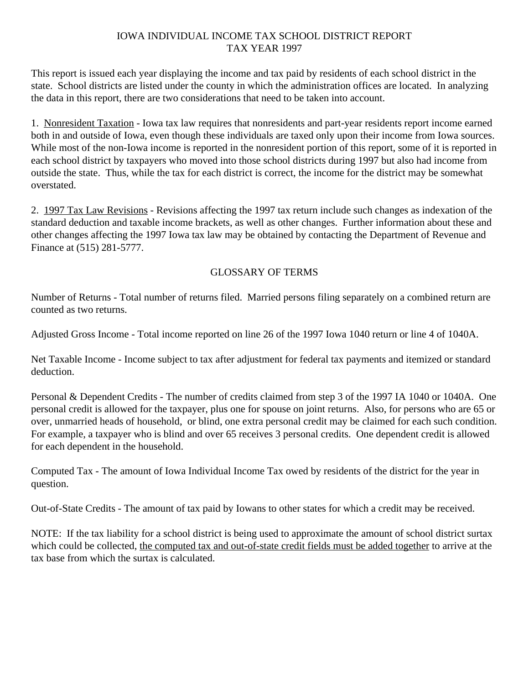## IOWA INDIVIDUAL INCOME TAX SCHOOL DISTRICT REPORT TAX YEAR 1997

This report is issued each year displaying the income and tax paid by residents of each school district in the state. School districts are listed under the county in which the administration offices are located. In analyzing the data in this report, there are two considerations that need to be taken into account.

1. Nonresident Taxation - Iowa tax law requires that nonresidents and part-year residents report income earned both in and outside of Iowa, even though these individuals are taxed only upon their income from Iowa sources. While most of the non-Iowa income is reported in the nonresident portion of this report, some of it is reported in each school district by taxpayers who moved into those school districts during 1997 but also had income from outside the state. Thus, while the tax for each district is correct, the income for the district may be somewhat overstated.

2. 1997 Tax Law Revisions - Revisions affecting the 1997 tax return include such changes as indexation of the standard deduction and taxable income brackets, as well as other changes. Further information about these and other changes affecting the 1997 Iowa tax law may be obtained by contacting the Department of Revenue and Finance at (515) 281-5777.

## GLOSSARY OF TERMS

Number of Returns - Total number of returns filed. Married persons filing separately on a combined return are counted as two returns.

Adjusted Gross Income - Total income reported on line 26 of the 1997 Iowa 1040 return or line 4 of 1040A.

Net Taxable Income - Income subject to tax after adjustment for federal tax payments and itemized or standard deduction.

Personal & Dependent Credits - The number of credits claimed from step 3 of the 1997 IA 1040 or 1040A. One personal credit is allowed for the taxpayer, plus one for spouse on joint returns. Also, for persons who are 65 or over, unmarried heads of household, or blind, one extra personal credit may be claimed for each such condition. For example, a taxpayer who is blind and over 65 receives 3 personal credits. One dependent credit is allowed for each dependent in the household.

Computed Tax - The amount of Iowa Individual Income Tax owed by residents of the district for the year in question.

Out-of-State Credits - The amount of tax paid by Iowans to other states for which a credit may be received.

NOTE: If the tax liability for a school district is being used to approximate the amount of school district surtax which could be collected, the computed tax and out-of-state credit fields must be added together to arrive at the tax base from which the surtax is calculated.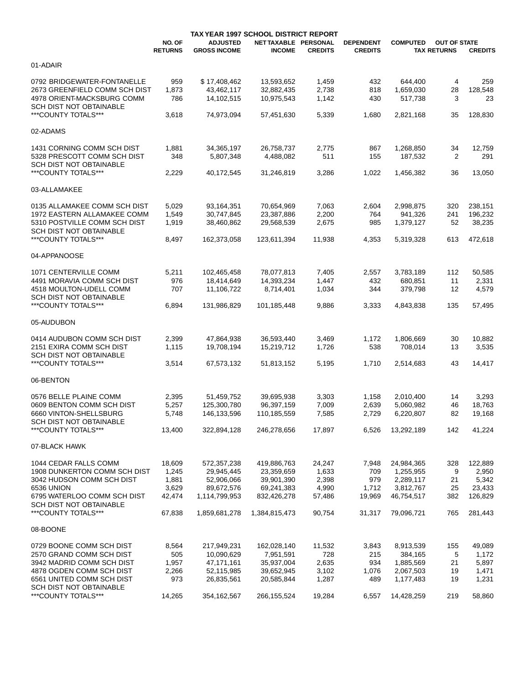|                               |                          |                                        | TAX YEAR 1997 SCHOOL DISTRICT REPORT  |                |                                    |                 |                                           |                   |
|-------------------------------|--------------------------|----------------------------------------|---------------------------------------|----------------|------------------------------------|-----------------|-------------------------------------------|-------------------|
|                               | NO. OF<br><b>RETURNS</b> | <b>ADJUSTED</b><br><b>GROSS INCOME</b> | NET TAXABLE PERSONAL<br><b>INCOME</b> | <b>CREDITS</b> | <b>DEPENDENT</b><br><b>CREDITS</b> | <b>COMPUTED</b> | <b>OUT OF STATE</b><br><b>TAX RETURNS</b> | <b>CREDITS</b>    |
| 01-ADAIR                      |                          |                                        |                                       |                |                                    |                 |                                           |                   |
| 0792 BRIDGEWATER-FONTANELLE   | 959                      | \$17,408,462                           | 13,593,652                            | 1,459          | 432                                | 644,400         | 4                                         | 259               |
| 2673 GREENFIELD COMM SCH DIST | 1,873                    | 43,462,117                             | 32,882,435                            | 2,738          | 818                                | 1,659,030       | 28                                        | 128,548           |
| 4978 ORIENT MACKSBURG COMM    | 786                      | 14,102,515                             | 10,975,543                            | 1,142          | 430                                | 517,738         | 3                                         | 23                |
| SCH DIST NOT OBTAINABLE       |                          |                                        |                                       |                |                                    |                 |                                           |                   |
| ***COUNTY TOTALS***           |                          | 74,973,094                             |                                       | 5,339          | 1,680                              | 2,821,168       |                                           | 128,830           |
|                               | 3,618                    |                                        | 57,451,630                            |                |                                    |                 | 35                                        |                   |
| 02-ADAMS                      |                          |                                        |                                       |                |                                    |                 |                                           |                   |
| 1431 CORNING COMM SCH DIST    | 1,881                    | 34,365,197                             | 26,758,737                            | 2,775          | 867                                | 1,268,850       | 34                                        | 12,759            |
| 5328 PRESCOTT COMM SCH DIST   | 348                      | 5,807,348                              | 4,488,082                             | 511            | 155                                | 187,532         | 2                                         | 291               |
| SCH DIST NOT OBTAINABLE       |                          |                                        |                                       |                |                                    |                 |                                           |                   |
| ***COUNTY TOTALS***           | 2,229                    | 40,172,545                             | 31,246,819                            | 3,286          | 1,022                              | 1,456,382       | 36                                        | 13,050            |
|                               |                          |                                        |                                       |                |                                    |                 |                                           |                   |
| 03-ALLAMAKEE                  |                          |                                        |                                       |                |                                    |                 |                                           |                   |
|                               |                          |                                        |                                       |                |                                    |                 |                                           |                   |
| 0135 ALLAMAKEE COMM SCH DIST  | 5,029                    | 93,164,351                             | 70,654,969                            | 7,063          | 2,604                              | 2,998,875       | 320                                       | 238,151           |
| 1972 EASTERN ALLAMAKEE COMM   | 1,549                    | 30,747,845                             | 23,387,886                            | 2,200          | 764                                | 941,326         | 241                                       | 196,232           |
| 5310 POSTVILLE COMM SCH DIST  | 1,919                    | 38,460,862                             | 29,568,539                            | 2,675          | 985                                | 1,379,127       | 52                                        | 38,235            |
| SCH DIST NOT OBTAINABLE       |                          |                                        |                                       |                |                                    |                 |                                           |                   |
| ***COUNTY TOTALS***           | 8,497                    | 162,373,058                            | 123,611,394                           | 11,938         | 4,353                              | 5,319,328       | 613                                       | 472,618           |
| 04-APPANOOSE                  |                          |                                        |                                       |                |                                    |                 |                                           |                   |
| 1071 CENTERVILLE COMM         |                          |                                        |                                       |                |                                    |                 | 112                                       |                   |
|                               | 5,211<br>976             | 102,465,458                            | 78,077,813                            | 7,405          | 2,557                              | 3,783,189       |                                           | 50,585            |
| 4491 MORAVIA COMM SCH DIST    |                          | 18,414,649                             | 14,393,234                            | 1,447          | 432                                | 680,851         | 11                                        | 2,331             |
| 4518 MOULTON-UDELL COMM       | 707                      | 11,106,722                             | 8,714,401                             | 1,034          | 344                                | 379,798         | 12                                        | 4,579             |
| SCH DIST NOT OBTAINABLE       |                          |                                        |                                       |                |                                    |                 |                                           |                   |
| ***COUNTY TOTALS***           | 6,894                    | 131,986,829                            | 101,185,448                           | 9,886          | 3,333                              | 4,843,838       | 135                                       | 57,495            |
| 05-AUDUBON                    |                          |                                        |                                       |                |                                    |                 |                                           |                   |
| 0414 AUDUBON COMM SCH DIST    | 2,399                    | 47,864,938                             | 36,593,440                            | 3,469          | 1,172                              | 1,806,669       | 30                                        | 10,882            |
| 2151 EXIRA COMM SCH DIST      | 1,115                    | 19,708,194                             | 15,219,712                            | 1,726          | 538                                | 708,014         | 13                                        | 3,535             |
| SCH DIST NOT OBTAINABLE       |                          |                                        |                                       |                |                                    |                 |                                           |                   |
| ***COUNTY TOTALS***           |                          |                                        |                                       |                |                                    |                 |                                           |                   |
|                               | 3,514                    | 67,573,132                             | 51,813,152                            | 5,195          | 1,710                              | 2,514,683       | 43                                        | 14,417            |
| 06-BENTON                     |                          |                                        |                                       |                |                                    |                 |                                           |                   |
|                               |                          |                                        |                                       |                |                                    |                 |                                           |                   |
| 0576 BELLE PLAINE COMM        | 2,395                    | 51.459.752                             | 39,695,938                            | 3,303          | 1,158                              | 2,010,400       | 14                                        | 3,293             |
| 0609 BENTON COMM SCH DIST     | 5,257                    | 125,300,780                            | 96,397,159                            | 7,009          | 2,639                              | 5,060,982       | 46                                        | 18,763            |
| 6660 VINTON-SHELLSBURG        | 5,748                    | 146,133,596                            | 110,185,559                           | 7,585          | 2,729                              | 6,220,807       | 82                                        | 19,168            |
| SCH DIST NOT OBTAINABLE       |                          |                                        |                                       |                |                                    |                 |                                           |                   |
| ***COUNTY TOTALS***           | 13,400                   | 322,894,128                            | 246,278,656                           | 17,897         | 6,526                              | 13,292,189      | 142                                       | 41,224            |
| 07-BLACK HAWK                 |                          |                                        |                                       |                |                                    |                 |                                           |                   |
| 1044 CEDAR FALLS COMM         | 18,609                   | 572,357,238                            | 419,886,763                           | 24,247         | 7,948                              | 24,984,365      | 328                                       | 122,889           |
| 1908 DUNKERTON COMM SCH DIST  | 1,245                    | 29,945,445                             | 23,359,659                            |                | 709                                | 1,255,955       | 9                                         |                   |
| 3042 HUDSON COMM SCH DIST     | 1,881                    | 52,906,066                             |                                       | 1,633<br>2,398 | 979                                | 2,289,117       |                                           | 2,950             |
| 6536 UNION                    | 3,629                    | 89,672,576                             | 39,901,390<br>69,241,383              | 4,990          | 1,712                              | 3,812,767       | 21<br>25                                  | 5,342             |
| 6795 WATERLOO COMM SCH DIST   | 42,474                   | 1,114,799,953                          |                                       |                |                                    | 46,754,517      | 382                                       | 23,433<br>126,829 |
| SCH DIST NOT OBTAINABLE       |                          |                                        | 832,426,278                           | 57,486         | 19,969                             |                 |                                           |                   |
| ***COUNTY TOTALS***           | 67,838                   | 1,859,681,278                          | 1,384,815,473                         | 90,754         | 31,317                             | 79,096,721      | 765                                       | 281,443           |
|                               |                          |                                        |                                       |                |                                    |                 |                                           |                   |
| 08-BOONE                      |                          |                                        |                                       |                |                                    |                 |                                           |                   |
| 0729 BOONE COMM SCH DIST      | 8,564                    | 217,949,231                            | 162,028,140                           | 11,532         | 3,843                              | 8,913,539       | 155                                       | 49,089            |
| 2570 GRAND COMM SCH DIST      | 505                      | 10,090,629                             | 7,951,591                             | 728            | 215                                | 384,165         | 5                                         | 1,172             |
| 3942 MADRID COMM SCH DIST     | 1,957                    | 47,171,161                             | 35,937,004                            | 2,635          | 934                                | 1,885,569       | 21                                        | 5,897             |
| 4878 OGDEN COMM SCH DIST      | 2,266                    | 52,115,985                             | 39,652,945                            | 3,102          | 1,076                              | 2,067,503       | 19                                        | 1,471             |
| 6561 UNITED COMM SCH DIST     | 973                      | 26,835,561                             | 20,585,844                            | 1,287          | 489                                | 1,177,483       | 19                                        | 1,231             |
| SCH DIST NOT OBTAINABLE       |                          |                                        |                                       |                |                                    |                 |                                           |                   |
| ***COUNTY TOTALS***           | 14,265                   | 354,162,567                            | 266, 155, 524                         | 19,284         | 6,557                              | 14,428,259      | 219                                       | 58,860            |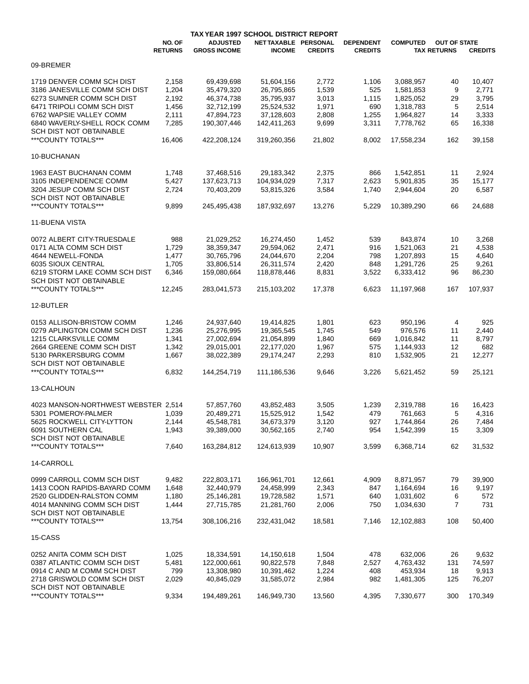|                                              | TAX YEAR 1997 SCHOOL DISTRICT REPORT |                     |                      |                |                  |                 |                     |                |
|----------------------------------------------|--------------------------------------|---------------------|----------------------|----------------|------------------|-----------------|---------------------|----------------|
|                                              | NO. OF                               | <b>ADJUSTED</b>     | NET TAXABLE PERSONAL |                | <b>DEPENDENT</b> | <b>COMPUTED</b> | <b>OUT OF STATE</b> |                |
|                                              | <b>RETURNS</b>                       | <b>GROSS INCOME</b> | <b>INCOME</b>        | <b>CREDITS</b> | <b>CREDITS</b>   |                 | <b>TAX RETURNS</b>  | <b>CREDITS</b> |
| 09-BREMER                                    |                                      |                     |                      |                |                  |                 |                     |                |
| 1719 DENVER COMM SCH DIST                    |                                      |                     |                      |                |                  |                 |                     |                |
|                                              | 2,158                                | 69,439,698          | 51,604,156           | 2,772          | 1,106            | 3,088,957       | 40                  | 10,407         |
| 3186 JANESVILLE COMM SCH DIST                | 1,204                                | 35,479,320          | 26,795,865           | 1,539          | 525              | 1,581,853       | 9                   | 2,771          |
| 6273 SUMNER COMM SCH DIST                    | 2,192                                | 46,374,738          | 35,795,937           | 3,013          | 1,115            | 1,825,052       | 29                  | 3,795          |
| 6471 TRIPOLI COMM SCH DIST                   | 1,456                                | 32,712,199          | 25,524,532           | 1,971          | 690              | 1,318,783       | 5                   | 2,514          |
| 6762 WAPSIE VALLEY COMM                      | 2,111                                | 47,894,723          | 37,128,603           | 2,808          | 1,255            | 1,964,827       | 14                  | 3,333          |
| 6840 WAVERLY-SHELL ROCK COMM                 | 7,285                                | 190,307,446         | 142,411,263          | 9,699          | 3,311            | 7,778,762       | 65                  | 16,338         |
| <b>SCH DIST NOT OBTAINABLE</b>               |                                      |                     |                      |                |                  |                 |                     |                |
| ***COUNTY TOTALS***                          | 16,406                               | 422.208.124         | 319,260,356          | 21,802         | 8,002            | 17,558,234      | 162                 | 39,158         |
| 10-BUCHANAN                                  |                                      |                     |                      |                |                  |                 |                     |                |
| <b>1963 EAST BUCHANAN COMM</b>               | 1,748                                | 37,468,516          | 29,183,342           | 2,375          | 866              | 1,542,851       | 11                  | 2,924          |
| 3105 INDEPENDENCE COMM                       | 5,427                                | 137,623,713         | 104,934,029          | 7,317          | 2,623            | 5,901,835       | 35                  | 15,177         |
|                                              |                                      |                     |                      |                |                  |                 |                     |                |
| 3204 JESUP COMM SCH DIST                     | 2,724                                | 70,403,209          | 53,815,326           | 3,584          | 1,740            | 2,944,604       | 20                  | 6,587          |
| SCH DIST NOT OBTAINABLE                      |                                      |                     |                      |                |                  |                 |                     |                |
| ***COUNTY TOTALS***                          | 9,899                                | 245,495,438         | 187,932,697          | 13,276         | 5,229            | 10,389,290      | 66                  | 24,688         |
| <b>11-BUENA VISTA</b>                        |                                      |                     |                      |                |                  |                 |                     |                |
| 0072 ALBERT CITY TRUESDALE                   | 988                                  | 21,029,252          | 16,274,450           | 1,452          | 539              | 843,874         | 10                  | 3,268          |
| 0171 ALTA COMM SCH DIST                      | 1,729                                | 38,359,347          | 29,594,062           | 2,471          | 916              | 1,521,063       | 21                  | 4,538          |
| 4644 NEWELL-FONDA                            | 1,477                                | 30,765,796          | 24,044,670           | 2,204          | 798              | 1,207,893       | 15                  | 4,640          |
|                                              |                                      |                     |                      |                |                  |                 |                     |                |
| 6035 SIOUX CENTRAL                           | 1,705                                | 33,806,514          | 26,311,574           | 2,420          | 848              | 1,291,726       | 25                  | 9,261          |
| 6219 STORM LAKE COMM SCH DIST                | 6,346                                | 159,080,664         | 118,878,446          | 8,831          | 3,522            | 6,333,412       | 96                  | 86,230         |
| SCH DIST NOT OBTAINABLE                      |                                      |                     |                      |                |                  |                 |                     |                |
| ***COUNTY TOTALS***                          | 12,245                               | 283,041,573         | 215,103,202          | 17,378         | 6,623            | 11,197,968      | 167                 | 107,937        |
| 12-BUTLER                                    |                                      |                     |                      |                |                  |                 |                     |                |
|                                              |                                      |                     |                      |                |                  |                 |                     |                |
| 0153 ALLISON-BRISTOW COMM                    | 1,246                                | 24,937,640          | 19,414,825           | 1,801          | 623              | 950,196         | 4                   | 925            |
| 0279 APLINGTON COMM SCH DIST                 | 1,236                                | 25,276,995          | 19,365,545           | 1,745          | 549              | 976,576         | 11                  | 2,440          |
| 1215 CLARKSVILLE COMM                        | 1,341                                | 27,002,694          | 21,054,899           | 1,840          | 669              | 1,016,842       | 11                  | 8,797          |
| 2664 GREENE COMM SCH DIST                    | 1,342                                | 29,015,001          | 22,177,020           | 1,967          | 575              | 1,144,933       | 12                  | 682            |
| 5130 PARKERSBURG COMM                        | 1,667                                | 38,022,389          | 29,174,247           | 2,293          | 810              | 1,532,905       | 21                  | 12,277         |
| SCH DIST NOT OBTAINABLE                      |                                      |                     |                      |                |                  |                 |                     |                |
| ***COUNTY TOTALS***                          | 6,832                                | 144,254,719         | 111,186,536          | 9,646          | 3,226            | 5,621,452       | 59                  | 25,121         |
|                                              |                                      |                     |                      |                |                  |                 |                     |                |
| 13-CALHOUN                                   |                                      |                     |                      |                |                  |                 |                     |                |
| 4023 MANSON-NORTHWEST WEBSTER 2,514          |                                      | 57,857,760          | 43,852,483           | 3,505          | 1,239            | 2,319,788       | 16                  | 16,423         |
| 5301 POMEROY-PALMER                          | 1,039                                | 20,489,271          | 15,525,912           | 1,542          | 479              | 761,663         | 5                   | 4,316          |
| 5625 ROCKWELL CITY-LYTTON                    |                                      | 45,548,781          | 34,673,379           | 3,120          |                  | 1,744,864       |                     | 7,484          |
|                                              | 2,144                                |                     |                      |                | 927              |                 | 26                  |                |
| 6091 SOUTHERN CAL<br>SCH DIST NOT OBTAINABLE | 1,943                                | 39,389,000          | 30,562,165           | 2,740          | 954              | 1,542,399       | 15                  | 3,309          |
| ***COUNTY TOTALS***                          | 7,640                                | 163,284,812         | 124,613,939          | 10,907         | 3,599            | 6,368,714       | 62                  | 31,532         |
| 14-CARROLL                                   |                                      |                     |                      |                |                  |                 |                     |                |
|                                              |                                      |                     |                      |                |                  |                 |                     |                |
| 0999 CARROLL COMM SCH DIST                   | 9,482                                | 222,803,171         | 166,961,701          | 12,661         | 4,909            | 8,871,957       | 79                  | 39,900         |
| 1413 COON RAPIDS-BAYARD COMM                 | 1,648                                | 32,440,979          | 24,458,999           | 2,343          | 847              | 1,164,694       | 16                  | 9,197          |
| 2520 GLIDDEN-RALSTON COMM                    | 1,180                                | 25,146,281          | 19,728,582           | 1,571          | 640              | 1,031,602       | 6                   | 572            |
| 4014 MANNING COMM SCH DIST                   | 1,444                                | 27,715,785          | 21,281,760           | 2,006          | 750              | 1,034,630       | 7                   | 731            |
| SCH DIST NOT OBTAINABLE                      |                                      |                     |                      |                |                  |                 |                     |                |
| ***COUNTY TOTALS***                          | 13,754                               | 308,106,216         | 232,431,042          | 18,581         | 7,146            | 12,102,883      | 108                 | 50,400         |
| 15-CASS                                      |                                      |                     |                      |                |                  |                 |                     |                |
| 0252 ANITA COMM SCH DIST                     | 1,025                                | 18,334,591          | 14,150,618           | 1,504          | 478              | 632,006         | 26                  | 9,632          |
| 0387 ATLANTIC COMM SCH DIST                  |                                      |                     |                      |                |                  |                 |                     |                |
|                                              | 5,481                                | 122,000,661         | 90,822,578           | 7,848          | 2,527            | 4,763,432       | 131                 | 74,597         |
| 0914 C AND M COMM SCH DIST                   | 799                                  | 13,308,980          | 10,391,462           | 1,224          | 408              | 453,934         | 18                  | 9,913          |
| 2718 GRISWOLD COMM SCH DIST                  | 2,029                                | 40,845,029          | 31,585,072           | 2,984          | 982              | 1,481,305       | 125                 | 76,207         |
| SCH DIST NOT OBTAINABLE                      |                                      |                     |                      |                |                  |                 |                     |                |
| ***COUNTY TOTALS***                          | 9,334                                | 194,489,261         | 146,949,730          | 13,560         | 4,395            | 7,330,677       | 300                 | 170,349        |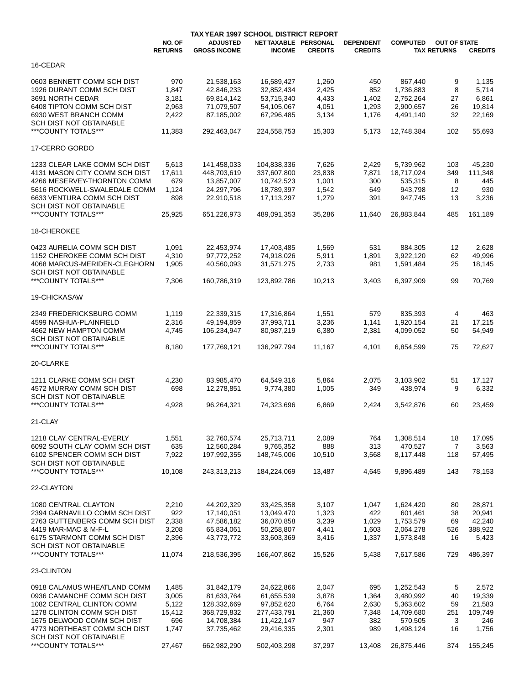|                                  |                          | <b>TAX YEAR 1997 SCHOOL DISTRICT REPORT</b> |                                       |                |                                    |                 |                                           |                |
|----------------------------------|--------------------------|---------------------------------------------|---------------------------------------|----------------|------------------------------------|-----------------|-------------------------------------------|----------------|
|                                  | NO. OF<br><b>RETURNS</b> | <b>ADJUSTED</b><br><b>GROSS INCOME</b>      | NET TAXABLE PERSONAL<br><b>INCOME</b> | <b>CREDITS</b> | <b>DEPENDENT</b><br><b>CREDITS</b> | <b>COMPUTED</b> | <b>OUT OF STATE</b><br><b>TAX RETURNS</b> | <b>CREDITS</b> |
| 16-CEDAR                         |                          |                                             |                                       |                |                                    |                 |                                           |                |
| 0603 BENNETT COMM SCH DIST       | 970                      | 21,538,163                                  | 16,589,427                            | 1,260          | 450                                | 867,440         | 9                                         | 1,135          |
| <b>1926 DURANT COMM SCH DIST</b> |                          | 42.846.233                                  |                                       |                | 852                                |                 |                                           |                |
|                                  | 1,847                    |                                             | 32,852,434                            | 2,425          |                                    | 1,736,883       | 8                                         | 5,714          |
| 3691 NORTH CEDAR                 | 3,181                    | 69,814,142                                  | 53,715,340                            | 4,433          | 1,402                              | 2,752,264       | 27                                        | 6,861          |
| 6408 TIPTON COMM SCH DIST        | 2,963                    | 71,079,507                                  | 54,105,067                            | 4,051          | 1,293                              | 2,900,657       | 26                                        | 19,814         |
| 6930 WEST BRANCH COMM            | 2,422                    | 87,185,002                                  | 67,296,485                            | 3,134          | 1,176                              | 4,491,140       | 32                                        | 22,169         |
| SCH DIST NOT OBTAINABLE          |                          |                                             |                                       |                |                                    |                 |                                           |                |
| ***COUNTY TOTALS***              | 11,383                   | 292,463,047                                 | 224,558,753                           | 15,303         | 5,173                              | 12,748,384      | 102                                       | 55,693         |
| 17-CERRO GORDO                   |                          |                                             |                                       |                |                                    |                 |                                           |                |
| 1233 CLEAR LAKE COMM SCH DIST    | 5,613                    | 141,458,033                                 | 104,838,336                           | 7,626          | 2,429                              | 5,739,962       | 103                                       | 45,230         |
|                                  |                          |                                             |                                       |                |                                    |                 |                                           |                |
| 4131 MASON CITY COMM SCH DIST    | 17,611                   | 448,703,619                                 | 337,607,800                           | 23,838         | 7,871                              | 18,717,024      | 349                                       | 111,348        |
| 4266 MESERVEY-THORNTON COMM      | 679                      | 13,857,007                                  | 10,742,523                            | 1,001          | 300                                | 535,315         | 8                                         | 445            |
| 5616 ROCKWELL-SWALEDALE COMM     | 1,124                    | 24,297,796                                  | 18,789,397                            | 1,542          | 649                                | 943,798         | 12                                        | 930            |
| 6633 VENTURA COMM SCH DIST       | 898                      | 22,910,518                                  | 17,113,297                            | 1,279          | 391                                | 947,745         | 13                                        | 3,236          |
| <b>SCH DIST NOT OBTAINABLE</b>   |                          |                                             |                                       |                |                                    |                 |                                           |                |
| ***COUNTY TOTALS***              | 25,925                   | 651,226,973                                 | 489,091,353                           | 35,286         | 11,640                             | 26,883,844      | 485                                       | 161,189        |
| 18-CHEROKEE                      |                          |                                             |                                       |                |                                    |                 |                                           |                |
|                                  |                          |                                             |                                       |                |                                    |                 |                                           |                |
| 0423 AURELIA COMM SCH DIST       | 1,091                    | 22,453,974                                  | 17,403,485                            | 1,569          | 531                                | 884,305         | 12                                        | 2,628          |
| 1152 CHEROKEE COMM SCH DIST      | 4,310                    | 97.772.252                                  | 74,918,026                            | 5,911          | 1,891                              | 3,922,120       | 62                                        | 49,996         |
| 4068 MARCUS-MERIDEN-CLEGHORN     | 1,905                    | 40,560,093                                  | 31,571,275                            | 2,733          | 981                                | 1,591,484       | 25                                        | 18,145         |
| SCH DIST NOT OBTAINABLE          |                          |                                             |                                       |                |                                    |                 |                                           |                |
| ***COUNTY TOTALS***              | 7,306                    | 160,786,319                                 | 123,892,786                           | 10,213         | 3,403                              | 6,397,909       | 99                                        | 70,769         |
| 19-CHICKASAW                     |                          |                                             |                                       |                |                                    |                 |                                           |                |
|                                  |                          |                                             |                                       |                |                                    |                 |                                           |                |
| 2349 FREDERICKSBURG COMM         | 1,119                    | 22,339,315                                  | 17,316,864                            | 1,551          | 579                                | 835,393         | 4                                         | 463            |
| 4599 NASHUA-PLAINFIELD           | 2,316                    | 49,194,859                                  | 37,993,711                            | 3,236          | 1,141                              | 1,920,154       | 21                                        | 17,215         |
| 4662 NEW HAMPTON COMM            | 4,745                    | 106,234,947                                 | 80,987,219                            | 6,380          | 2,381                              | 4,099,052       | 50                                        | 54,949         |
| SCH DIST NOT OBTAINABLE          |                          |                                             |                                       |                |                                    |                 |                                           |                |
| ***COUNTY TOTALS***              | 8,180                    | 177,769,121                                 | 136,297,794                           | 11,167         | 4,101                              | 6,854,599       | 75                                        | 72,627         |
| 20-CLARKE                        |                          |                                             |                                       |                |                                    |                 |                                           |                |
| 1211 CLARKE COMM SCH DIST        |                          |                                             |                                       |                |                                    |                 |                                           |                |
|                                  | 4,230                    | 83,985,470                                  | 64,549,316                            | 5,864          | 2,075                              | 3,103,902       | 51                                        | 17,127         |
| 4572 MURRAY COMM SCH DIST        | 698                      | 12,278,851                                  | 9,774,380                             | 1,005          | 349                                | 438,974         | 9                                         | 6,332          |
| <b>SCH DIST NOT OBTAINABLE</b>   |                          |                                             |                                       |                |                                    |                 |                                           |                |
| ***COUNTY TOTALS***              | 4,928                    | 96,264,321                                  | 74,323,696                            | 6,869          | 2,424                              | 3,542,876       | 60                                        | 23,459         |
|                                  |                          |                                             |                                       |                |                                    |                 |                                           |                |
| 21-CLAY                          |                          |                                             |                                       |                |                                    |                 |                                           |                |
| 1218 CLAY CENTRAL-EVERLY         | 1,551                    | 32,760,574                                  | 25,713,711                            | 2,089          | 764                                | 1,308,514       | 18                                        | 17,095         |
| 6092 SOUTH CLAY COMM SCH DIST    | 635                      | 12,560,284                                  | 9,765,352                             | 888            | 313                                | 470,527         | $\overline{7}$                            | 3,563          |
| 6102 SPENCER COMM SCH DIST       | 7,922                    | 197,992,355                                 | 148,745,006                           | 10,510         | 3,568                              | 8,117,448       | 118                                       | 57,495         |
| SCH DIST NOT OBTAINABLE          |                          |                                             |                                       |                |                                    |                 |                                           |                |
| ***COUNTY TOTALS***              | 10,108                   | 243,313,213                                 | 184,224,069                           | 13,487         | 4.645                              | 9,896,489       | 143                                       | 78,153         |
|                                  |                          |                                             |                                       |                |                                    |                 |                                           |                |
| 22-CLAYTON                       |                          |                                             |                                       |                |                                    |                 |                                           |                |
| 1080 CENTRAL CLAYTON             | 2,210                    | 44,202,329                                  | 33,425,358                            | 3,107          | 1,047                              | 1,624,420       | 80                                        | 28,871         |
|                                  |                          |                                             |                                       |                |                                    |                 |                                           |                |
| 2394 GARNAVILLO COMM SCH DIST    | 922                      | 17,140,051                                  | 13,049,470                            | 1,323          | 422                                | 601,461         | 38                                        | 20,941         |
| 2763 GUTTENBERG COMM SCH DIST    | 2,338                    | 47,586,182                                  | 36,070,858                            | 3,239          | 1,029                              | 1,753,579       | 69                                        | 42,240         |
| 4419 MAR-MAC & M-F-L             | 3,208                    | 65,834,061                                  | 50,258,807                            | 4,441          | 1,603                              | 2,064,278       | 526                                       | 388,922        |
| 6175 STARMONT COMM SCH DIST      | 2,396                    | 43,773,772                                  | 33,603,369                            | 3,416          | 1,337                              | 1,573,848       | 16                                        | 5,423          |
| SCH DIST NOT OBTAINABLE          |                          |                                             |                                       |                |                                    |                 |                                           |                |
| ***COUNTY TOTALS***              | 11,074                   | 218,536,395                                 | 166,407,862                           | 15,526         | 5,438                              | 7,617,586       | 729                                       | 486,397        |
| 23-CLINTON                       |                          |                                             |                                       |                |                                    |                 |                                           |                |
|                                  |                          |                                             |                                       |                |                                    |                 |                                           |                |
| 0918 CALAMUS WHEATLAND COMM      | 1,485                    | 31,842,179                                  | 24,622,866                            | 2,047          | 695                                | 1,252,543       | 5                                         | 2,572          |
| 0936 CAMANCHE COMM SCH DIST      | 3,005                    | 81,633,764                                  | 61,655,539                            | 3,878          | 1,364                              | 3,480,992       | 40                                        | 19,339         |
| 1082 CENTRAL CLINTON COMM        | 5,122                    | 128,332,669                                 | 97,852,620                            | 6,764          | 2,630                              | 5,363,602       | 59                                        | 21,583         |
| 1278 CLINTON COMM SCH DIST       | 15,412                   | 368,729,832                                 | 277,433,791                           | 21,360         | 7,348                              | 14,709,680      | 251                                       | 109,749        |
| 1675 DELWOOD COMM SCH DIST       | 696                      | 14,708,384                                  | 11,422,147                            | 947            | 382                                | 570,505         | 3                                         | 246            |
| 4773 NORTHEAST COMM SCH DIST     | 1,747                    | 37,735,462                                  | 29,416,335                            | 2,301          | 989                                | 1,498,124       | 16                                        | 1,756          |
| <b>SCH DIST NOT OBTAINABLE</b>   |                          |                                             |                                       |                |                                    |                 |                                           |                |
| ***COUNTY TOTALS***              | 27,467                   | 662,982,290                                 | 502,403,298                           | 37,297         | 13,408                             | 26,875,446      | 374                                       | 155,245        |
|                                  |                          |                                             |                                       |                |                                    |                 |                                           |                |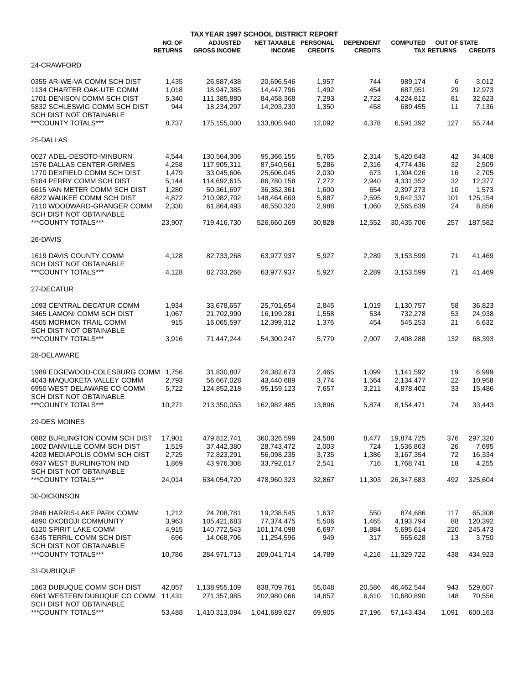|                                                                                                                                                                                                                                                               |                                                                       | TAX YEAR 1997 SCHOOL DISTRICT REPORT                                                                              |                                                                                                                |                                                                       |                                                                   |                                                                                                       |                                                |                                                                            |
|---------------------------------------------------------------------------------------------------------------------------------------------------------------------------------------------------------------------------------------------------------------|-----------------------------------------------------------------------|-------------------------------------------------------------------------------------------------------------------|----------------------------------------------------------------------------------------------------------------|-----------------------------------------------------------------------|-------------------------------------------------------------------|-------------------------------------------------------------------------------------------------------|------------------------------------------------|----------------------------------------------------------------------------|
|                                                                                                                                                                                                                                                               | NO. OF<br><b>RETURNS</b>                                              | <b>ADJUSTED</b><br><b>GROSS INCOME</b>                                                                            | NET TAXABLE PERSONAL<br><b>INCOME</b>                                                                          | <b>CREDITS</b>                                                        | <b>DEPENDENT</b><br><b>CREDITS</b>                                | <b>COMPUTED</b>                                                                                       | <b>OUT OF STATE</b><br><b>TAX RETURNS</b>      | <b>CREDITS</b>                                                             |
| 24-CRAWFORD                                                                                                                                                                                                                                                   |                                                                       |                                                                                                                   |                                                                                                                |                                                                       |                                                                   |                                                                                                       |                                                |                                                                            |
| 0355 AR-WE-VA COMM SCH DIST<br>1134 CHARTER OAK-UTE COMM<br>1701 DENISON COMM SCH DIST<br>5832 SCHLESWIG COMM SCH DIST                                                                                                                                        | 1,435<br>1,018<br>5,340<br>944                                        | 26,587,438<br>18,947,385<br>111,385,880<br>18,234,297                                                             | 20,696,546<br>14,447,796<br>84,458,368<br>14,203,230                                                           | 1,957<br>1,492<br>7,293<br>1,350                                      | 744<br>454<br>2,722<br>458                                        | 989,174<br>687.951<br>4,224,812<br>689,455                                                            | 6<br>29<br>81<br>11                            | 3,012<br>12.973<br>32,623<br>7,136                                         |
| <b>SCH DIST NOT OBTAINABLE</b><br>***COUNTY TOTALS***                                                                                                                                                                                                         | 8,737                                                                 | 175,155,000                                                                                                       | 133,805,940                                                                                                    | 12,092                                                                | 4,378                                                             | 6,591,392                                                                                             | 127                                            | 55,744                                                                     |
| 25-DALLAS                                                                                                                                                                                                                                                     |                                                                       |                                                                                                                   |                                                                                                                |                                                                       |                                                                   |                                                                                                       |                                                |                                                                            |
| 0027 ADEL-DESOTO-MINBURN<br>1576 DALLAS CENTER-GRIMES<br>1770 DEXFIELD COMM SCH DIST<br>5184 PERRY COMM SCH DIST<br>6615 VAN METER COMM SCH DIST<br>6822 WAUKEE COMM SCH DIST<br>7110 WOODWARD-GRANGER COMM<br>SCH DIST NOT OBTAINABLE<br>***COUNTY TOTALS*** | 4,544<br>4,258<br>1,479<br>5,144<br>1,280<br>4,872<br>2,330<br>23,907 | 130,564,306<br>117,905,311<br>33,045,606<br>114,692,615<br>50,361,697<br>210,982,702<br>61,864,493<br>719,416,730 | 95,366,155<br>87,540,561<br>25,606,045<br>86,780,158<br>36,352,361<br>148,464,669<br>46,550,320<br>526,660,269 | 5,765<br>5,286<br>2,030<br>7,272<br>1,600<br>5,887<br>2,988<br>30,828 | 2,314<br>2,316<br>673<br>2,940<br>654<br>2,595<br>1,060<br>12,552 | 5,420,643<br>4,774,436<br>1,304,026<br>4,331,352<br>2,397,273<br>9,642,337<br>2,565,639<br>30,435,706 | 42<br>32<br>16<br>32<br>10<br>101<br>24<br>257 | 34,408<br>2,509<br>2,705<br>12,377<br>1,573<br>125,154<br>8,856<br>187,582 |
| 26-DAVIS                                                                                                                                                                                                                                                      |                                                                       |                                                                                                                   |                                                                                                                |                                                                       |                                                                   |                                                                                                       |                                                |                                                                            |
| 1619 DAVIS COUNTY COMM<br>SCH DIST NOT OBTAINABLE<br>***COUNTY TOTALS***                                                                                                                                                                                      | 4.128<br>4,128                                                        | 82,733,268<br>82,733,268                                                                                          | 63,977,937<br>63,977,937                                                                                       | 5,927<br>5,927                                                        | 2.289<br>2,289                                                    | 3,153,599<br>3,153,599                                                                                | 71<br>71                                       | 41,469<br>41,469                                                           |
| 27-DECATUR                                                                                                                                                                                                                                                    |                                                                       |                                                                                                                   |                                                                                                                |                                                                       |                                                                   |                                                                                                       |                                                |                                                                            |
| 1093 CENTRAL DECATUR COMM<br>3465 LAMONI COMM SCH DIST<br>4505 MORMON TRAIL COMM<br>SCH DIST NOT OBTAINABLE<br>***COUNTY TOTALS***                                                                                                                            | 1,934<br>1,067<br>915<br>3,916                                        | 33,678,657<br>21,702,990<br>16,065,597<br>71,447,244                                                              | 25,701,654<br>16,199,281<br>12,399,312<br>54,300,247                                                           | 2,845<br>1,558<br>1,376<br>5,779                                      | 1,019<br>534<br>454<br>2,007                                      | 1,130,757<br>732,278<br>545,253<br>2,408,288                                                          | 58<br>53<br>21<br>132                          | 36,823<br>24,938<br>6,632<br>68,393                                        |
| 28-DELAWARE                                                                                                                                                                                                                                                   |                                                                       |                                                                                                                   |                                                                                                                |                                                                       |                                                                   |                                                                                                       |                                                |                                                                            |
| 1989 EDGEWOOD-COLESBURG COMM<br>4043 MAQUOKETA VALLEY COMM<br>6950 WEST DELAWARE CO COMM<br>SCH DIST NOT OBTAINABLE<br>***COUNTY TOTALS***                                                                                                                    | 1,756<br>2,793<br>5,722<br>10,271                                     | 31,830,807<br>56,667,028<br>124,852,218<br>213,350,053                                                            | 24,382,673<br>43,440,689<br>95,159,123<br>162,982,485                                                          | 2,465<br>3,774<br>7,657<br>13,896                                     | 1,099<br>1,564<br>3,211<br>5,874                                  | 1,141,592<br>2,134,477<br>4,878,402<br>8,154,471                                                      | 19<br>22<br>33<br>74                           | 6,999<br>10,958<br>15,486<br>33,443                                        |
| 29-DES MOINES                                                                                                                                                                                                                                                 |                                                                       |                                                                                                                   |                                                                                                                |                                                                       |                                                                   |                                                                                                       |                                                |                                                                            |
| 0882 BURLINGTON COMM SCH DIST<br>1602 DANVILLE COMM SCH DIST<br>4203 MEDIAPOLIS COMM SCH DIST<br>6937 WEST BURLINGTON IND<br>SCH DIST NOT OBTAINABLE<br>***COUNTY TOTALS***                                                                                   | 17,901<br>1,519<br>2,725<br>1,869<br>24,014                           | 479,812,741<br>37,442,380<br>72,823,291<br>43,976,308<br>634,054,720                                              | 360,326,599<br>28,743,472<br>56,098,235<br>33,792,017<br>478,960,323                                           | 24,588<br>2,003<br>3,735<br>2,541<br>32,867                           | 8,477<br>724<br>1,386<br>716<br>11,303                            | 19,874,725<br>1,536,863<br>3,167,354<br>1,768,741<br>26,347,683                                       | 376<br>26<br>72<br>18<br>492                   | 297,320<br>7,695<br>16,334<br>4,255<br>325,604                             |
| 30-DICKINSON                                                                                                                                                                                                                                                  |                                                                       |                                                                                                                   |                                                                                                                |                                                                       |                                                                   |                                                                                                       |                                                |                                                                            |
| 2846 HARRIS-LAKE PARK COMM<br>4890 OKOBOJI COMMUNITY<br>6120 SPIRIT LAKE COMM<br>6345 TERRIL COMM SCH DIST<br>SCH DIST NOT OBTAINABLE<br>***COUNTY TOTALS***                                                                                                  | 1,212<br>3,963<br>4,915<br>696<br>10,786                              | 24,708,781<br>105,421,683<br>140,772,543<br>14,068,706<br>284,971,713                                             | 19,238,545<br>77,374,475<br>101,174,098<br>11,254,596<br>209,041,714                                           | 1,637<br>5,506<br>6,697<br>949<br>14,789                              | 550<br>1,465<br>1,884<br>317<br>4,216                             | 874,686<br>4,193,794<br>5,695,614<br>565,628<br>11,329,722                                            | 117<br>88<br>220<br>13<br>438                  | 65,308<br>120,392<br>245,473<br>3,750<br>434,923                           |
| 31-DUBUQUE                                                                                                                                                                                                                                                    |                                                                       |                                                                                                                   |                                                                                                                |                                                                       |                                                                   |                                                                                                       |                                                |                                                                            |
| 1863 DUBUQUE COMM SCH DIST<br>6961 WESTERN DUBUQUE CO COMM<br>SCH DIST NOT OBTAINABLE                                                                                                                                                                         | 42,057<br>11,431                                                      | 1,138,955,109<br>271,357,985                                                                                      | 838,709,761<br>202,980,066                                                                                     | 55,048<br>14,857                                                      | 20,586<br>6,610                                                   | 46,462,544<br>10,680,890                                                                              | 943<br>148                                     | 529,607<br>70,556                                                          |
| ***COUNTY TOTALS***                                                                                                                                                                                                                                           | 53,488                                                                | 1,410,313,094                                                                                                     | 1,041,689,827                                                                                                  | 69,905                                                                | 27,196                                                            | 57,143,434                                                                                            | 1,091                                          | 600,163                                                                    |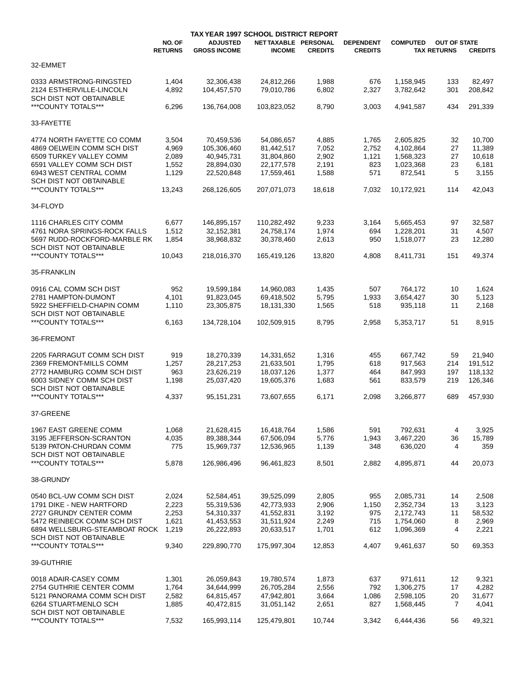|                                                |                          | TAX YEAR 1997 SCHOOL DISTRICT REPORT   |                                       |                |                                    |                 |                                           |                |
|------------------------------------------------|--------------------------|----------------------------------------|---------------------------------------|----------------|------------------------------------|-----------------|-------------------------------------------|----------------|
|                                                | NO. OF<br><b>RETURNS</b> | <b>ADJUSTED</b><br><b>GROSS INCOME</b> | NET TAXABLE PERSONAL<br><b>INCOME</b> | <b>CREDITS</b> | <b>DEPENDENT</b><br><b>CREDITS</b> | <b>COMPUTED</b> | <b>OUT OF STATE</b><br><b>TAX RETURNS</b> | <b>CREDITS</b> |
| 32-EMMET                                       |                          |                                        |                                       |                |                                    |                 |                                           |                |
| 0333 ARMSTRONG-RINGSTED                        | 1,404                    | 32,306,438                             | 24,812,266                            | 1,988          | 676                                | 1,158,945       | 133                                       | 82,497         |
| 2124 ESTHERVILLE-LINCOLN                       | 4,892                    | 104,457,570                            | 79.010.786                            | 6,802          | 2,327                              | 3,782,642       | 301                                       | 208,842        |
| SCH DIST NOT OBTAINABLE                        |                          |                                        |                                       |                |                                    |                 |                                           |                |
| ***COUNTY TOTALS***                            | 6,296                    | 136,764,008                            | 103,823,052                           | 8,790          | 3,003                              | 4,941,587       | 434                                       | 291,339        |
| 33-FAYETTE                                     |                          |                                        |                                       |                |                                    |                 |                                           |                |
|                                                |                          |                                        |                                       |                |                                    |                 |                                           |                |
| 4774 NORTH FAYETTE CO COMM                     | 3,504                    | 70,459,536                             | 54,086,657                            | 4,885          | 1,765                              | 2,605,825       | 32                                        | 10,700         |
| 4869 OELWEIN COMM SCH DIST                     | 4,969                    | 105,306,460                            | 81,442,517                            | 7,052          | 2,752                              | 4,102,864       | 27                                        | 11,389         |
| 6509 TURKEY VALLEY COMM                        | 2,089                    | 40,945,731                             | 31,804,860                            | 2,902          | 1,121                              | 1,568,323       | 27                                        | 10,618         |
| 6591 VALLEY COMM SCH DIST                      | 1,552                    | 28,894,030                             | 22,177,578                            | 2,191          | 823                                | 1,023,368       | 23                                        | 6,181          |
| 6943 WEST CENTRAL COMM                         | 1,129                    | 22,520,848                             | 17,559,461                            | 1,588          | 571                                | 872,541         | 5                                         | 3,155          |
| SCH DIST NOT OBTAINABLE                        |                          |                                        |                                       |                |                                    |                 |                                           |                |
| ***COUNTY TOTALS***                            | 13,243                   | 268,126,605                            | 207,071,073                           | 18,618         | 7,032                              | 10,172,921      | 114                                       | 42,043         |
| 34-FLOYD                                       |                          |                                        |                                       |                |                                    |                 |                                           |                |
| 1116 CHARLES CITY COMM                         | 6,677                    | 146,895,157                            | 110,282,492                           | 9,233          | 3,164                              | 5,665,453       | 97                                        | 32,587         |
| 4761 NORA SPRINGS-ROCK FALLS                   | 1,512                    | 32,152,381                             | 24,758,174                            | 1,974          | 694                                | 1,228,201       | 31                                        | 4,507          |
| 5697 RUDD-ROCKFORD-MARBLE RK                   | 1,854                    | 38,968,832                             | 30,378,460                            | 2,613          | 950                                | 1,518,077       | 23                                        | 12,280         |
| SCH DIST NOT OBTAINABLE                        |                          |                                        |                                       |                |                                    |                 |                                           |                |
| ***COUNTY TOTALS***                            | 10,043                   | 218,016,370                            | 165,419,126                           | 13,820         | 4,808                              | 8,411,731       | 151                                       | 49,374         |
|                                                |                          |                                        |                                       |                |                                    |                 |                                           |                |
| 35-FRANKLIN                                    |                          |                                        |                                       |                |                                    |                 |                                           |                |
| 0916 CAL COMM SCH DIST                         | 952                      | 19,599,184                             | 14,960,083                            | 1,435          | 507                                | 764,172         | 10                                        | 1,624          |
| 2781 HAMPTON-DUMONT                            | 4,101                    | 91,823,045                             | 69,418,502                            | 5,795          | 1,933                              | 3,654,427       | 30                                        | 5,123          |
| 5922 SHEFFIELD-CHAPIN COMM                     | 1,110                    | 23,305,875                             | 18,131,330                            | 1,565          | 518                                | 935,118         | 11                                        | 2,168          |
| SCH DIST NOT OBTAINABLE                        |                          |                                        |                                       |                |                                    |                 |                                           |                |
| ***COUNTY TOTALS***                            | 6,163                    | 134,728,104                            | 102,509,915                           | 8,795          | 2,958                              | 5,353,717       | 51                                        | 8,915          |
| 36-FREMONT                                     |                          |                                        |                                       |                |                                    |                 |                                           |                |
|                                                |                          |                                        |                                       |                |                                    |                 |                                           |                |
| 2205 FARRAGUT COMM SCH DIST                    | 919                      | 18,270,339                             | 14,331,652                            | 1,316          | 455                                | 667,742         | 59                                        | 21,940         |
| 2369 FREMONT-MILLS COMM                        | 1,257                    | 28,217,253                             | 21,633,501                            | 1,795          | 618                                | 917,563         | 214                                       | 191,512        |
| 2772 HAMBURG COMM SCH DIST                     | 963                      | 23,626,219                             | 18,037,126                            | 1,377          | 464                                | 847,993         | 197                                       | 118,132        |
| 6003 SIDNEY COMM SCH DIST                      | 1,198                    | 25,037,420                             | 19,605,376                            | 1,683          | 561                                | 833,579         | 219                                       | 126,346        |
| <b>SCH DIST NOT OBTAINABLE</b>                 |                          |                                        |                                       |                |                                    |                 |                                           |                |
| ***COUNTY TOTALS***                            | 4,337                    | 95,151,231                             | 73,607,655                            | 6,171          | 2,098                              | 3,266,877       | 689                                       | 457,930        |
| 37-GREENE                                      |                          |                                        |                                       |                |                                    |                 |                                           |                |
| 1967 EAST GREENE COMM                          | 1,068                    | 21,628,415                             | 16,418,764                            | 1,586          | 591                                | 792,631         | 4                                         | 3,925          |
| 3195 JEFFERSON-SCRANTON                        | 4,035                    | 89,388,344                             | 67,506,094                            | 5,776          | 1,943                              | 3,467,220       | 36                                        | 15,789         |
| 5139 PATON-CHURDAN COMM                        | 775                      | 15,969,737                             | 12,536,965                            | 1,139          | 348                                | 636,020         | 4                                         | 359            |
| <b>SCH DIST NOT OBTAINABLE</b>                 |                          |                                        |                                       |                |                                    |                 |                                           |                |
| ***COUNTY TOTALS***                            | 5,878                    | 126,986,496                            | 96,461,823                            | 8,501          | 2,882                              | 4,895,871       | 44                                        | 20,073         |
| 38-GRUNDY                                      |                          |                                        |                                       |                |                                    |                 |                                           |                |
|                                                |                          |                                        |                                       |                |                                    |                 |                                           |                |
| 0540 BCL-UW COMM SCH DIST                      | 2,024                    | 52,584,451                             | 39,525,099                            | 2,805          | 955                                | 2,085,731       | 14                                        | 2,508          |
| 1791 DIKE - NEW HARTFORD                       | 2,223                    | 55,319,536                             | 42,773,933                            | 2,906          | 1,150                              | 2,352,734       | 13                                        | 3,123          |
| 2727 GRUNDY CENTER COMM                        | 2,253                    | 54,310,337                             | 41,552,831                            | 3,192          | 975                                | 2,172,743       | 11                                        | 58,532         |
| 5472 REINBECK COMM SCH DIST                    | 1,621                    | 41,453,553                             | 31,511,924                            | 2,249          | 715                                | 1,754,060       | 8                                         | 2,969          |
| 6894 WELLSBURG-STEAMBOAT ROCK                  | 1,219                    | 26,222,893                             | 20,633,517                            | 1,701          | 612                                | 1,096,369       | 4                                         | 2,221          |
| SCH DIST NOT OBTAINABLE<br>***COUNTY TOTALS*** | 9,340                    | 229,890,770                            | 175,997,304                           | 12,853         | 4,407                              | 9,461,637       | 50                                        | 69,353         |
|                                                |                          |                                        |                                       |                |                                    |                 |                                           |                |
| 39-GUTHRIE                                     |                          |                                        |                                       |                |                                    |                 |                                           |                |
| 0018 ADAIR-CASEY COMM                          | 1,301                    | 26,059,843                             | 19,780,574                            | 1,873          | 637                                | 971,611         | 12                                        | 9,321          |
| 2754 GUTHRIE CENTER COMM                       | 1,764                    | 34,644,999                             | 26,705,284                            | 2,556          | 792                                | 1,306,275       | 17                                        | 4,282          |
| 5121 PANORAMA COMM SCH DIST                    | 2,582                    | 64,815,457                             | 47,942,801                            | 3,664          | 1,086                              | 2,598,105       | 20                                        | 31,677         |
| 6264 STUART-MENLO SCH                          | 1,885                    | 40,472,815                             | 31,051,142                            | 2,651          | 827                                | 1,568,445       | 7                                         | 4,041          |
| SCH DIST NOT OBTAINABLE                        |                          |                                        |                                       |                |                                    |                 |                                           |                |
| ***COUNTY TOTALS***                            | 7,532                    | 165,993,114                            | 125,479,801                           | 10,744         | 3,342                              | 6,444,436       | 56                                        | 49,321         |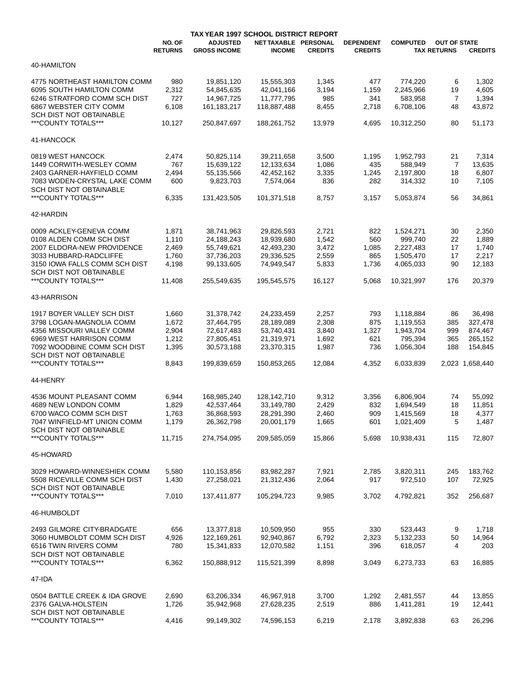|                                                             | NO. OF<br><b>RETURNS</b> | TAX YEAR 1997 SCHOOL DISTRICT REPORT<br><b>ADJUSTED</b><br><b>GROSS INCOME</b> | NET TAXABLE PERSONAL<br><b>INCOME</b> | <b>CREDITS</b> | <b>DEPENDENT</b><br><b>CREDITS</b> | <b>COMPUTED</b>        | <b>OUT OF STATE</b><br><b>TAX RETURNS</b> | <b>CREDITS</b>    |
|-------------------------------------------------------------|--------------------------|--------------------------------------------------------------------------------|---------------------------------------|----------------|------------------------------------|------------------------|-------------------------------------------|-------------------|
|                                                             |                          |                                                                                |                                       |                |                                    |                        |                                           |                   |
| 40-HAMILTON                                                 |                          |                                                                                |                                       |                |                                    |                        |                                           |                   |
| 4775 NORTHEAST HAMILTON COMM                                | 980                      | 19,851,120                                                                     | 15,555,303                            | 1,345          | 477                                | 774,220                | 6                                         | 1,302             |
| 6095 SOUTH HAMILTON COMM                                    | 2,312                    | 54,845,635                                                                     | 42,041,166                            | 3,194          | 1,159                              | 2,245,966              | 19                                        | 4,605             |
| 6246 STRATFORD COMM SCH DIST                                | 727                      | 14,967,725                                                                     | 11,777,795                            | 985            | 341                                | 583,958                | 7                                         | 1,394             |
| 6867 WEBSTER CITY COMM                                      | 6,108                    | 161, 183, 217                                                                  | 118,887,488                           | 8,455          | 2,718                              | 6,708,106              | 48                                        | 43,872            |
| <b>SCH DIST NOT OBTAINABLE</b><br>***COUNTY TOTALS***       | 10,127                   | 250,847,697                                                                    | 188,261,752                           | 13,979         | 4,695                              | 10,312,250             | 80                                        | 51,173            |
| 41-HANCOCK                                                  |                          |                                                                                |                                       |                |                                    |                        |                                           |                   |
| 0819 WEST HANCOCK                                           | 2,474                    | 50,825,114                                                                     | 39,211,658                            | 3,500          | 1,195                              | 1,952,793              | 21                                        | 7,314             |
| 1449 CORWITH-WESLEY COMM                                    | 767                      | 15,639,122                                                                     | 12,133,634                            | 1,086          | 435                                | 588,949                | 7                                         | 13,635            |
| 2403 GARNER-HAYFIELD COMM                                   | 2,494                    | 55,135,566                                                                     | 42,452,162                            | 3,335          | 1,245                              | 2,197,800              | 18                                        | 6,807             |
| 7083 WODEN-CRYSTAL LAKE COMM                                | 600                      | 9,823,703                                                                      | 7,574,064                             | 836            | 282                                | 314,332                | 10                                        | 7,105             |
| SCH DIST NOT OBTAINABLE                                     |                          |                                                                                |                                       |                |                                    |                        |                                           |                   |
| ***COUNTY TOTALS***                                         | 6,335                    | 131,423,505                                                                    | 101,371,518                           | 8,757          | 3,157                              | 5,053,874              | 56                                        | 34,861            |
| 42-HARDIN                                                   |                          |                                                                                |                                       |                |                                    |                        |                                           |                   |
| 0009 ACKLEY-GENEVA COMM                                     | 1,871                    | 38,741,963                                                                     | 29,826,593                            | 2,721          | 822                                | 1,524,271              | 30                                        | 2,350             |
| 0108 ALDEN COMM SCH DIST                                    | 1,110                    | 24,188,243                                                                     | 18,939,680                            | 1,542          | 560                                | 999,740                | 22                                        | 1,889             |
| 2007 ELDORA-NEW PROVIDENCE                                  | 2,469                    | 55,749,621                                                                     | 42,493,230                            | 3,472          | 1,085                              | 2,227,483              | 17                                        | 1,740             |
| 3033 HUBBARD-RADCLIFFE                                      | 1,760                    | 37,736,203                                                                     | 29,336,525                            | 2,559          | 865                                | 1,505,470              | 17                                        | 2,217             |
| 3150 IOWA FALLS COMM SCH DIST                               | 4,198                    | 99,133,605                                                                     | 74,949,547                            | 5,833          | 1,736                              | 4,065,033              | 90                                        | 12,183            |
| SCH DIST NOT OBTAINABLE<br>***COUNTY TOTALS***              | 11,408                   | 255,549,635                                                                    | 195,545,575                           | 16,127         | 5,068                              | 10,321,997             | 176                                       | 20,379            |
| 43-HARRISON                                                 |                          |                                                                                |                                       |                |                                    |                        |                                           |                   |
|                                                             |                          |                                                                                |                                       |                |                                    |                        |                                           |                   |
| 1917 BOYER VALLEY SCH DIST<br>3798 LOGAN-MAGNOLIA COMM      | 1,660<br>1,672           | 31,378,742<br>37,464,795                                                       | 24,233,459<br>28,189,089              | 2,257<br>2,308 | 793<br>875                         | 1,118,884<br>1,119,553 | 86<br>385                                 | 36,498<br>327,478 |
| 4356 MISSOURI VALLEY COMM                                   | 2,904                    | 72,617,483                                                                     | 53,740,431                            | 3,840          | 1,327                              | 1,943,704              | 999                                       | 874,467           |
| 6969 WEST HARRISON COMM                                     | 1,212                    | 27,805,451                                                                     | 21,319,971                            | 1,692          | 621                                | 795,394                | 365                                       | 265,152           |
| 7092 WOODBINE COMM SCH DIST                                 | 1,395                    | 30,573,188                                                                     | 23,370,315                            | 1,987          | 736                                | 1,056,304              | 188                                       | 154,845           |
| SCH DIST NOT OBTAINABLE                                     |                          |                                                                                |                                       |                |                                    |                        |                                           |                   |
| ***COUNTY TOTALS***                                         | 8,843                    | 199,839,659                                                                    | 150,853,265                           | 12,084         | 4,352                              | 6,033,839              |                                           | 2,023 1,658,440   |
| 44-HENRY                                                    |                          |                                                                                |                                       |                |                                    |                        |                                           |                   |
| 4536 MOUNT PLEASANT COMM                                    |                          |                                                                                |                                       |                |                                    | 6,806,904              |                                           |                   |
| 4689 NEW LONDON COMM                                        | 6,944<br>1,829           | 168,985,240<br>42,537,464                                                      | 128,142,710<br>33,149,780             | 9,312<br>2,429 | 3,356<br>832                       | 1,694,549              | 74<br>18                                  | 55,092<br>11,851  |
| 6700 WACO COMM SCH DIST                                     | 1,763                    | 36,868,593                                                                     | 28,291,390                            | 2,460          | 909                                | 1,415,569              | 18                                        | 4,377             |
| 7047 WINFIELD-MT UNION COMM                                 | 1,179                    | 26,362,798                                                                     | 20,001,179                            | 1,665          | 601                                | 1,021,409              | 5                                         | 1,487             |
| SCH DIST NOT OBTAINABLE                                     |                          |                                                                                |                                       |                |                                    |                        |                                           |                   |
| ***COUNTY TOTALS***                                         | 11,715                   | 274,754,095                                                                    | 209,585,059                           | 15,866         | 5,698                              | 10,938,431             | 115                                       | 72,807            |
| 45-HOWARD                                                   |                          |                                                                                |                                       |                |                                    |                        |                                           |                   |
|                                                             |                          |                                                                                |                                       |                |                                    |                        |                                           |                   |
| 3029 HOWARD-WINNESHIEK COMM<br>5508 RICEVILLE COMM SCH DIST | 5,580<br>1,430           | 110,153,856<br>27,258,021                                                      | 83,982,287<br>21,312,436              | 7,921<br>2,064 | 2,785<br>917                       | 3,820,311<br>972,510   | 245<br>107                                | 183,762<br>72,925 |
| SCH DIST NOT OBTAINABLE                                     |                          |                                                                                |                                       |                |                                    |                        |                                           |                   |
| *** COUNTY TOTALS***                                        | 7,010                    | 137,411,877                                                                    | 105,294,723                           | 9,985          | 3,702                              | 4,792,821              | 352                                       | 256,687           |
| 46-HUMBOLDT                                                 |                          |                                                                                |                                       |                |                                    |                        |                                           |                   |
| 2493 GILMORE CITY-BRADGATE                                  | 656                      | 13,377,818                                                                     | 10,509,950                            | 955            | 330                                | 523,443                | 9                                         | 1,718             |
| 3060 HUMBOLDT COMM SCH DIST                                 | 4,926                    | 122,169,261                                                                    | 92,940,867                            | 6,792          | 2,323                              | 5,132,233              | 50                                        | 14,964            |
| 6516 TWIN RIVERS COMM                                       | 780                      | 15,341,833                                                                     | 12,070,582                            | 1,151          | 396                                | 618,057                | 4                                         | 203               |
| SCH DIST NOT OBTAINABLE<br>***COUNTY TOTALS***              | 6,362                    | 150,888,912                                                                    | 115,521,399                           | 8,898          | 3,049                              | 6,273,733              | 63                                        | 16,885            |
|                                                             |                          |                                                                                |                                       |                |                                    |                        |                                           |                   |
| 47-IDA                                                      |                          |                                                                                |                                       |                |                                    |                        |                                           |                   |
| 0504 BATTLE CREEK & IDA GROVE                               | 2,690                    | 63,206,334                                                                     | 46,967,918                            | 3,700          | 1,292                              | 2,481,557              | 44                                        | 13,855            |
| 2376 GALVA-HOLSTEIN                                         | 1,726                    | 35,942,968                                                                     | 27,628,235                            | 2,519          | 886                                | 1,411,281              | 19                                        | 12,441            |
| SCH DIST NOT OBTAINABLE                                     |                          |                                                                                |                                       |                |                                    |                        |                                           |                   |
| *** COUNTY TOTALS***                                        | 4,416                    | 99,149,302                                                                     | 74,596,153                            | 6,219          | 2,178                              | 3,892,838              | 63                                        | 26,296            |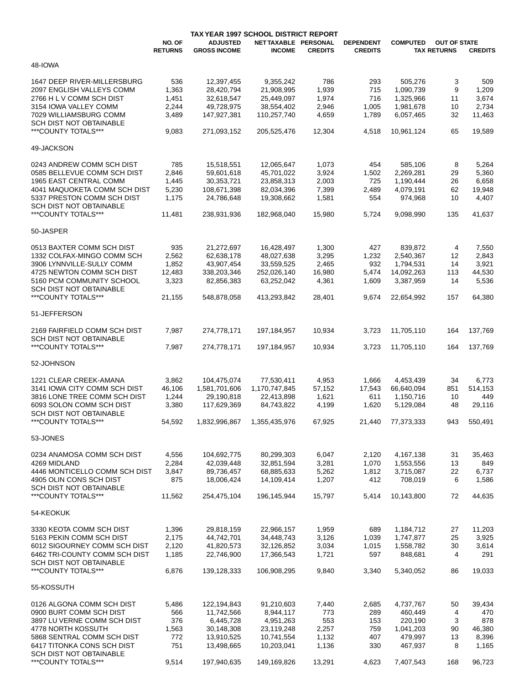|                                                         |                          | TAX YEAR 1997 SCHOOL DISTRICT REPORT   |                                       |                |                                    |                 |                                           |                |
|---------------------------------------------------------|--------------------------|----------------------------------------|---------------------------------------|----------------|------------------------------------|-----------------|-------------------------------------------|----------------|
|                                                         | NO. OF<br><b>RETURNS</b> | <b>ADJUSTED</b><br><b>GROSS INCOME</b> | NET TAXABLE PERSONAL<br><b>INCOME</b> | <b>CREDITS</b> | <b>DEPENDENT</b><br><b>CREDITS</b> | <b>COMPUTED</b> | <b>OUT OF STATE</b><br><b>TAX RETURNS</b> | <b>CREDITS</b> |
| 48-IOWA                                                 |                          |                                        |                                       |                |                                    |                 |                                           |                |
| 1647 DEEP RIVER-MILLERSBURG                             | 536                      | 12,397,455                             | 9,355,242                             | 786            | 293                                | 505,276         | 3                                         | 509            |
| 2097 ENGLISH VALLEYS COMM                               | 1,363                    | 28,420,794                             | 21,908,995                            | 1,939          | 715                                | 1,090,739       | 9                                         | 1,209          |
|                                                         |                          |                                        |                                       |                |                                    |                 |                                           |                |
| 2766 H L V COMM SCH DIST                                | 1,451                    | 32,618,547                             | 25,449,097                            | 1,974          | 716                                | 1,325,966       | 11                                        | 3,674          |
| 3154 IOWA VALLEY COMM                                   | 2,244                    | 49,728,975                             | 38,554,402                            | 2,946          | 1,005                              | 1,981,678       | 10                                        | 2,734          |
| 7029 WILLIAMSBURG COMM                                  | 3,489                    | 147,927,381                            | 110,257,740                           | 4,659          | 1,789                              | 6,057,465       | 32                                        | 11,463         |
| <b>SCH DIST NOT OBTAINABLE</b><br>***COUNTY TOTALS***   | 9,083                    | 271,093,152                            | 205,525,476                           | 12,304         | 4,518                              | 10,961,124      | 65                                        | 19,589         |
| 49-JACKSON                                              |                          |                                        |                                       |                |                                    |                 |                                           |                |
| 0243 ANDREW COMM SCH DIST                               | 785                      | 15,518,551                             | 12,065,647                            | 1,073          | 454                                | 585,106         | 8                                         | 5,264          |
| 0585 BELLEVUE COMM SCH DIST                             | 2,846                    | 59,601,618                             | 45,701,022                            | 3,924          | 1,502                              | 2,269,281       | 29                                        | 5,360          |
| 1965 EAST CENTRAL COMM                                  | 1,445                    | 30,353,721                             | 23,858,313                            | 2,003          | 725                                | 1,190,444       | 26                                        | 6,658          |
| 4041 MAQUOKETA COMM SCH DIST                            | 5,230                    | 108,671,398                            | 82,034,396                            | 7,399          | 2,489                              | 4,079,191       | 62                                        | 19,948         |
|                                                         |                          |                                        |                                       |                |                                    |                 |                                           |                |
| 5337 PRESTON COMM SCH DIST                              | 1,175                    | 24,786,648                             | 19,308,662                            | 1,581          | 554                                | 974,968         | 10                                        | 4,407          |
| <b>SCH DIST NOT OBTAINABLE</b><br>***COUNTY TOTALS***   | 11,481                   | 238,931,936                            | 182,968,040                           | 15,980         | 5,724                              | 9,098,990       | 135                                       | 41,637         |
| 50-JASPER                                               |                          |                                        |                                       |                |                                    |                 |                                           |                |
| 0513 BAXTER COMM SCH DIST                               | 935                      | 21,272,697                             | 16,428,497                            | 1,300          | 427                                | 839,872         | 4                                         | 7,550          |
|                                                         |                          |                                        |                                       |                |                                    |                 |                                           |                |
| 1332 COLFAX-MINGO COMM SCH                              | 2,562                    | 62,638,178                             | 48,027,638                            | 3,295          | 1,232                              | 2,540,367       | 12                                        | 2,843          |
| 3906 LYNNVILLE-SULLY COMM                               | 1,852                    | 43,907,454                             | 33,559,525                            | 2,465          | 932                                | 1,794,531       | 14                                        | 3,921          |
| 4725 NEWTON COMM SCH DIST                               | 12,483                   | 338,203,346                            | 252,026,140                           | 16,980         | 5,474                              | 14,092,263      | 113                                       | 44,530         |
| 5160 PCM COMMUNITY SCHOOL                               | 3,323                    | 82,856,383                             | 63,252,042                            | 4,361          | 1,609                              | 3,387,959       | 14                                        | 5,536          |
| SCH DIST NOT OBTAINABLE<br>***COUNTY TOTALS***          | 21,155                   | 548,878,058                            | 413,293,842                           | 28,401         | 9,674                              | 22,654,992      | 157                                       | 64,380         |
| 51-JEFFERSON                                            |                          |                                        |                                       |                |                                    |                 |                                           |                |
|                                                         |                          |                                        |                                       |                |                                    |                 |                                           |                |
| 2169 FAIRFIELD COMM SCH DIST<br>SCH DIST NOT OBTAINABLE | 7,987                    | 274,778,171                            | 197,184,957                           | 10,934         | 3,723                              | 11,705,110      | 164                                       | 137,769        |
| ***COUNTY TOTALS***                                     | 7,987                    | 274,778,171                            | 197,184,957                           | 10,934         | 3,723                              | 11,705,110      | 164                                       | 137,769        |
| 52-JOHNSON                                              |                          |                                        |                                       |                |                                    |                 |                                           |                |
| 1221 CLEAR CREEK-AMANA                                  | 3,862                    | 104,475,074                            | 77,530,411                            | 4,953          | 1,666                              | 4,453,439       | 34                                        | 6,773          |
| 3141 IOWA CITY COMM SCH DIST                            | 46,106                   | 1,581,701,606                          | 1,170,747,845                         | 57,152         | 17,543                             | 66,640,094      | 851                                       | 514,153        |
|                                                         |                          |                                        |                                       |                |                                    |                 |                                           |                |
| 3816 LONE TREE COMM SCH DIST                            | 1,244                    | 29,190,818                             | 22,413,898                            | 1,621          | 611                                | 1,150,716       | 10                                        | 449            |
| 6093 SOLON COMM SCH DIST                                | 3,380                    | 117,629,369                            | 84,743,822                            | 4,199          | 1,620                              | 5,129,084       | 48                                        | 29,116         |
| SCH DIST NOT OBTAINABLE                                 |                          |                                        |                                       |                |                                    |                 |                                           |                |
| *** COUNTY TOTALS***                                    | 54,592                   | 1,832,996,867                          | 1,355,435,976                         | 67,925         | 21,440                             | 77,373,333      | 943                                       | 550,491        |
| 53-JONES                                                |                          |                                        |                                       |                |                                    |                 |                                           |                |
| 0234 ANAMOSA COMM SCH DIST                              | 4,556                    | 104,692,775                            | 80,299,303                            | 6,047          | 2,120                              | 4,167,138       | 31                                        | 35,463         |
| 4269 MIDLAND                                            | 2,284                    | 42,039,448                             | 32,851,594                            | 3,281          | 1,070                              | 1,553,556       | 13                                        | 849            |
| 4446 MONTICELLO COMM SCH DIST                           | 3,847                    | 89,736,457                             | 68,885,633                            | 5,262          | 1,812                              | 3,715,087       | 22                                        | 6,737          |
| 4905 OLIN CONS SCH DIST                                 | 875                      | 18,006,424                             | 14,109,414                            | 1,207          | 412                                | 708,019         | 6                                         | 1,586          |
| SCH DIST NOT OBTAINABLE                                 |                          |                                        |                                       |                |                                    |                 |                                           |                |
| ***COUNTY TOTALS***                                     | 11,562                   | 254,475,104                            | 196,145,944                           | 15,797         | 5,414                              | 10,143,800      | 72                                        | 44,635         |
| 54-KEOKUK                                               |                          |                                        |                                       |                |                                    |                 |                                           |                |
| 3330 KEOTA COMM SCH DIST                                | 1,396                    | 29,818,159                             | 22,966,157                            | 1,959          | 689                                | 1,184,712       | 27                                        | 11,203         |
| 5163 PEKIN COMM SCH DIST                                | 2,175                    | 44,742,701                             | 34,448,743                            | 3,126          | 1,039                              | 1,747,877       | 25                                        | 3,925          |
| 6012 SIGOURNEY COMM SCH DIST                            | 2,120                    | 41,820,573                             | 32,126,852                            | 3,034          | 1,015                              | 1,558,782       | 30                                        | 3,614          |
| 6462 TRI-COUNTY COMM SCH DIST                           | 1,185                    | 22,746,900                             | 17,366,543                            | 1,721          | 597                                | 848,681         | 4                                         | 291            |
| SCH DIST NOT OBTAINABLE                                 |                          |                                        |                                       |                |                                    |                 |                                           |                |
| ***COUNTY TOTALS***                                     | 6,876                    | 139,128,333                            | 106,908,295                           | 9,840          | 3,340                              | 5,340,052       | 86                                        | 19,033         |
| 55-KOSSUTH                                              |                          |                                        |                                       |                |                                    |                 |                                           |                |
| 0126 ALGONA COMM SCH DIST                               | 5,486                    | 122,194,843                            | 91,210,603                            | 7,440          | 2,685                              | 4,737,767       | 50                                        | 39,434         |
| 0900 BURT COMM SCH DIST                                 | 566                      | 11,742,566                             | 8,944,117                             | 773            | 289                                | 460,449         | 4                                         | 470            |
| 3897 LU VERNE COMM SCH DIST                             | 376                      | 6,445,728                              | 4,951,263                             | 553            | 153                                | 220,190         | 3                                         | 878            |
| 4778 NORTH KOSSUTH                                      | 1,563                    | 30,148,308                             | 23,119,248                            | 2,257          | 759                                | 1,041,203       | 90                                        | 46,380         |
|                                                         |                          |                                        |                                       |                |                                    |                 |                                           |                |
| 5868 SENTRAL COMM SCH DIST                              | 772                      | 13,910,525                             | 10,741,554                            | 1,132          | 407                                | 479,997         | 13                                        | 8,396          |
| 6417 TITONKA CONS SCH DIST                              | 751                      | 13,498,665                             | 10,203,041                            | 1,136          | 330                                | 467,937         | 8                                         | 1,165          |
| SCH DIST NOT OBTAINABLE                                 |                          |                                        |                                       |                |                                    |                 |                                           |                |
| ***COUNTY TOTALS***                                     | 9,514                    | 197,940,635                            | 149,169,826                           | 13,291         | 4,623                              | 7,407,543       | 168                                       | 96,723         |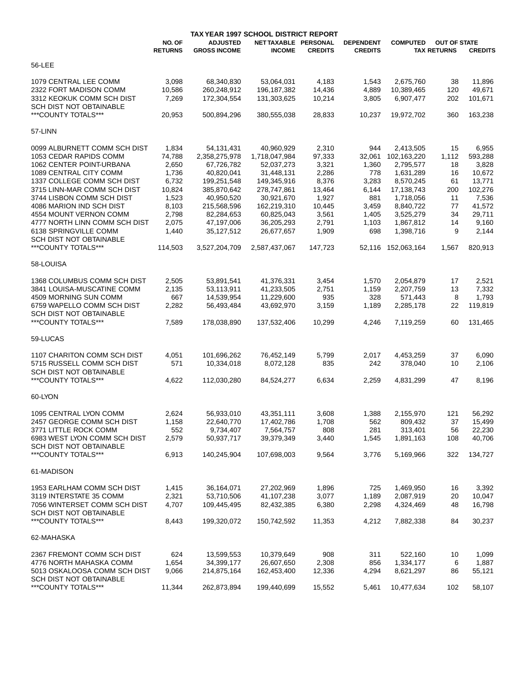|                                                       |                          | TAX YEAR 1997 SCHOOL DISTRICT REPORT   |                                       |                |                                    |                 |                                           |                |
|-------------------------------------------------------|--------------------------|----------------------------------------|---------------------------------------|----------------|------------------------------------|-----------------|-------------------------------------------|----------------|
|                                                       | NO. OF<br><b>RETURNS</b> | <b>ADJUSTED</b><br><b>GROSS INCOME</b> | NET TAXABLE PERSONAL<br><b>INCOME</b> | <b>CREDITS</b> | <b>DEPENDENT</b><br><b>CREDITS</b> | <b>COMPUTED</b> | <b>OUT OF STATE</b><br><b>TAX RETURNS</b> | <b>CREDITS</b> |
| 56-LEE                                                |                          |                                        |                                       |                |                                    |                 |                                           |                |
| 1079 CENTRAL LEE COMM                                 | 3,098                    | 68,340,830                             | 53,064,031                            | 4,183          | 1,543                              | 2,675,760       | 38                                        | 11,896         |
| 2322 FORT MADISON COMM                                | 10,586                   | 260,248,912                            | 196, 187, 382                         | 14,436         | 4,889                              | 10,389,465      | 120                                       | 49,671         |
| 3312 KEOKUK COMM SCH DIST                             | 7,269                    | 172,304,554                            | 131,303,625                           | 10,214         | 3,805                              | 6,907,477       | 202                                       | 101,671        |
| SCH DIST NOT OBTAINABLE                               |                          |                                        |                                       |                |                                    |                 |                                           |                |
| ***COUNTY TOTALS***                                   | 20,953                   | 500,894,296                            | 380,555,038                           | 28,833         | 10,237                             | 19,972,702      | 360                                       | 163,238        |
| 57-LINN                                               |                          |                                        |                                       |                |                                    |                 |                                           |                |
| 0099 ALBURNETT COMM SCH DIST                          | 1,834                    | 54,131,431                             | 40,960,929                            | 2,310          | 944                                | 2,413,505       | 15                                        | 6,955          |
| 1053 CEDAR RAPIDS COMM                                | 74,788                   | 2,358,275,978                          | 1,718,047,984                         | 97,333         | 32,061                             | 102,163,220     | 1,112                                     | 593,288        |
| 1062 CENTER POINT-URBANA                              | 2,650                    | 67,726,782                             | 52,037,273                            | 3,321          | 1,360                              | 2,795,577       | 18                                        | 3,828          |
| 1089 CENTRAL CITY COMM                                | 1,736                    | 40,820,041                             | 31,448,131                            | 2,286          | 778                                | 1,631,289       | 16                                        | 10,672         |
| 1337 COLLEGE COMM SCH DIST                            | 6,732                    | 199,251,548                            | 149,345,916                           | 8,376          | 3,283                              | 8,570,245       | 61                                        | 13,771         |
| 3715 LINN-MAR COMM SCH DIST                           | 10,824                   | 385,870,642                            | 278,747,861                           | 13,464         | 6,144                              | 17,138,743      | 200                                       | 102,276        |
| 3744 LISBON COMM SCH DIST                             | 1,523                    | 40,950,520                             | 30,921,670                            | 1,927          | 881                                | 1,718,056       |                                           | 7,536          |
| 4086 MARION IND SCH DIST                              |                          |                                        |                                       |                |                                    |                 | 11                                        |                |
|                                                       | 8,103                    | 215,568,596                            | 162,219,310                           | 10,445         | 3,459                              | 8,840,722       | 77                                        | 41,572         |
| 4554 MOUNT VERNON COMM                                | 2,798                    | 82,284,653                             | 60,825,043                            | 3,561          | 1,405                              | 3,525,279       | 34                                        | 29,711         |
| 4777 NORTH LINN COMM SCH DIST                         | 2,075                    | 47,197,006                             | 36,205,293                            | 2,791          | 1,103                              | 1,867,812       | 14                                        | 9,160          |
| 6138 SPRINGVILLE COMM                                 | 1,440                    | 35,127,512                             | 26,677,657                            | 1,909          | 698                                | 1,398,716       | 9                                         | 2,144          |
| <b>SCH DIST NOT OBTAINABLE</b><br>***COUNTY TOTALS*** | 114,503                  | 3,527,204,709                          | 2,587,437,067                         | 147,723        | 52,116                             | 152,063,164     | 1,567                                     | 820,913        |
| 58-LOUISA                                             |                          |                                        |                                       |                |                                    |                 |                                           |                |
|                                                       |                          |                                        |                                       |                |                                    |                 |                                           |                |
| 1368 COLUMBUS COMM SCH DIST                           | 2,505                    | 53,891,541                             | 41,376,331                            | 3,454          | 1,570                              | 2,054,879       | 17                                        | 2,521          |
| 3841 LOUISA-MUSCATINE COMM                            | 2,135                    | 53,113,911                             | 41,233,505                            | 2,751          | 1,159                              | 2,207,759       | 13                                        | 7,332          |
| 4509 MORNING SUN COMM                                 | 667                      | 14,539,954                             | 11,229,600                            | 935            | 328                                | 571,443         | 8                                         | 1,793          |
| 6759 WAPELLO COMM SCH DIST                            | 2,282                    | 56,493,484                             | 43,692,970                            | 3,159          | 1,189                              | 2,285,178       | 22                                        | 119,819        |
| SCH DIST NOT OBTAINABLE                               |                          |                                        |                                       |                |                                    |                 |                                           |                |
| ***COUNTY TOTALS***                                   | 7,589                    | 178,038,890                            | 137,532,406                           | 10,299         | 4,246                              | 7,119,259       | 60                                        | 131,465        |
| 59-LUCAS                                              |                          |                                        |                                       |                |                                    |                 |                                           |                |
| 1107 CHARITON COMM SCH DIST                           | 4,051                    | 101,696,262                            | 76,452,149                            | 5,799          | 2,017                              | 4,453,259       | 37                                        | 6,090          |
| 5715 RUSSELL COMM SCH DIST                            | 571                      | 10,334,018                             | 8,072,128                             | 835            | 242                                | 378,040         | 10                                        | 2,106          |
| SCH DIST NOT OBTAINABLE                               |                          |                                        |                                       |                |                                    |                 |                                           |                |
| ***COUNTY TOTALS***                                   | 4,622                    | 112,030,280                            | 84,524,277                            | 6,634          | 2,259                              | 4,831,299       | 47                                        | 8,196          |
|                                                       |                          |                                        |                                       |                |                                    |                 |                                           |                |
| 60-LYON                                               |                          |                                        |                                       |                |                                    |                 |                                           |                |
| 1095 CENTRAL LYON COMM                                | 2,624                    | 56,933,010                             | 43,351,111                            | 3,608          | 1,388                              | 2,155,970       | 121                                       | 56,292         |
| 2457 GEORGE COMM SCH DIST                             | 1,158                    | 22,640,770                             | 17,402,786                            | 1,708          | 562                                | 809,432         | 37                                        | 15,499         |
| 3771 LITTLE ROCK COMM                                 | 552                      | 9,734,407                              | 7,564,757                             | 808            | 281                                | 313,401         | 56                                        | 22,230         |
| 6983 WEST LYON COMM SCH DIST                          | 2,579                    | 50,937,717                             | 39,379,349                            | 3,440          | 1,545                              | 1,891,163       | 108                                       | 40,706         |
| <b>SCH DIST NOT OBTAINABLE</b>                        |                          |                                        |                                       |                |                                    |                 |                                           |                |
| *** COUNTY TOTALS***                                  | 6,913                    | 140,245,904                            | 107,698,003                           | 9,564          | 3,776                              | 5,169,966       | 322                                       | 134,727        |
| 61-MADISON                                            |                          |                                        |                                       |                |                                    |                 |                                           |                |
|                                                       |                          |                                        |                                       |                |                                    |                 |                                           |                |
| 1953 EARLHAM COMM SCH DIST                            | 1,415                    | 36,164,071                             | 27,202,969                            | 1,896          | 725                                | 1,469,950       | 16                                        | 3,392          |
| 3119 INTERSTATE 35 COMM                               | 2,321                    | 53,710,506                             | 41,107,238                            | 3,077          | 1,189                              | 2,087,919       | 20                                        | 10,047         |
| 7056 WINTERSET COMM SCH DIST                          | 4,707                    | 109,445,495                            | 82,432,385                            | 6,380          | 2,298                              | 4,324,469       | 48                                        | 16,798         |
| SCH DIST NOT OBTAINABLE                               |                          |                                        |                                       |                |                                    |                 |                                           |                |
| ***COUNTY TOTALS***                                   | 8,443                    | 199,320,072                            | 150,742,592                           | 11,353         | 4,212                              | 7,882,338       | 84                                        | 30,237         |
| 62-MAHASKA                                            |                          |                                        |                                       |                |                                    |                 |                                           |                |
| 2367 FREMONT COMM SCH DIST                            | 624                      | 13,599,553                             | 10,379,649                            | 908            | 311                                | 522,160         |                                           |                |
|                                                       |                          |                                        |                                       |                |                                    |                 | 10                                        | 1,099          |
| 4776 NORTH MAHASKA COMM                               | 1,654                    | 34,399,177                             | 26,607,650                            | 2,308          | 856                                | 1,334,177       | 6                                         | 1,887          |
| 5013 OSKALOOSA COMM SCH DIST                          | 9,066                    | 214,875,164                            | 162,453,400                           | 12,336         | 4,294                              | 8,621,297       | 86                                        | 55,121         |
| SCH DIST NOT OBTAINABLE                               |                          |                                        |                                       |                |                                    |                 |                                           |                |
| ***COUNTY TOTALS***                                   | 11,344                   | 262,873,894                            | 199,440,699                           | 15,552         | 5,461                              | 10,477,634      | 102                                       | 58,107         |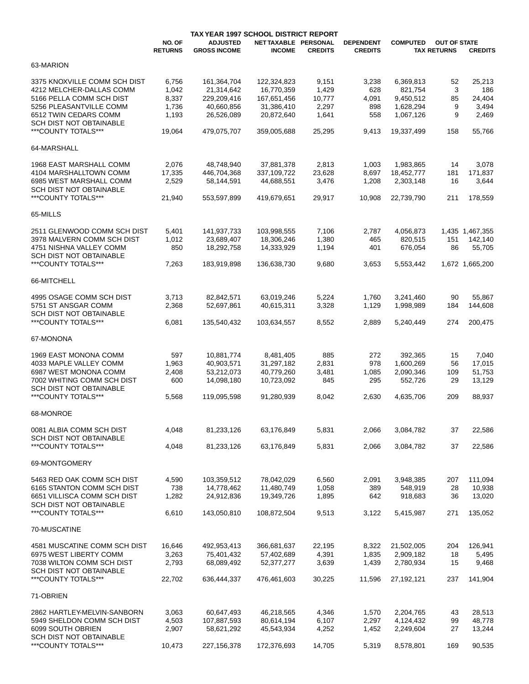|                                                       |                          | TAX YEAR 1997 SCHOOL DISTRICT REPORT   |                                       |                |                                    |                 |                                           |                 |
|-------------------------------------------------------|--------------------------|----------------------------------------|---------------------------------------|----------------|------------------------------------|-----------------|-------------------------------------------|-----------------|
|                                                       | NO. OF<br><b>RETURNS</b> | <b>ADJUSTED</b><br><b>GROSS INCOME</b> | NET TAXABLE PERSONAL<br><b>INCOME</b> | <b>CREDITS</b> | <b>DEPENDENT</b><br><b>CREDITS</b> | <b>COMPUTED</b> | <b>OUT OF STATE</b><br><b>TAX RETURNS</b> | <b>CREDITS</b>  |
| 63-MARION                                             |                          |                                        |                                       |                |                                    |                 |                                           |                 |
| 3375 KNOXVILLE COMM SCH DIST                          | 6,756                    | 161,364,704                            | 122,324,823                           | 9,151          | 3,238                              | 6,369,813       | 52                                        | 25,213          |
| 4212 MELCHER-DALLAS COMM                              | 1,042                    | 21,314,642                             | 16,770,359                            | 1,429          | 628                                | 821,754         | 3                                         | 186             |
|                                                       |                          |                                        |                                       |                |                                    |                 |                                           |                 |
| 5166 PELLA COMM SCH DIST                              | 8,337                    | 229,209,416                            | 167,651,456                           | 10,777         | 4,091                              | 9,450,512       | 85                                        | 24,404          |
| 5256 PLEASANTVILLE COMM                               | 1,736                    | 40,660,856                             | 31,386,410                            | 2,297          | 898                                | 1,628,294       | 9                                         | 3,494           |
| 6512 TWIN CEDARS COMM                                 | 1,193                    | 26,526,089                             | 20.872.640                            | 1,641          | 558                                | 1,067,126       | 9                                         | 2,469           |
| <b>SCH DIST NOT OBTAINABLE</b><br>***COUNTY TOTALS*** | 19,064                   | 479.075.707                            | 359,005,688                           | 25,295         | 9,413                              | 19,337,499      | 158                                       | 55,766          |
| 64-MARSHALL                                           |                          |                                        |                                       |                |                                    |                 |                                           |                 |
|                                                       |                          |                                        |                                       |                |                                    |                 |                                           |                 |
| 1968 EAST MARSHALL COMM                               | 2,076                    | 48,748,940                             | 37,881,378                            | 2,813          | 1,003                              | 1,983,865       | 14                                        | 3,078           |
| 4104 MARSHALLTOWN COMM                                | 17,335                   | 446,704,368                            | 337,109,722                           | 23,628         | 8,697                              | 18,452,777      | 181                                       | 171,837         |
| 6985 WEST MARSHALL COMM                               | 2,529                    | 58,144,591                             | 44,688,551                            | 3,476          | 1,208                              | 2,303,148       | 16                                        | 3,644           |
| SCH DIST NOT OBTAINABLE                               |                          |                                        |                                       |                |                                    |                 |                                           |                 |
| ***COUNTY TOTALS***                                   | 21,940                   | 553,597,899                            | 419.679.651                           | 29,917         | 10,908                             | 22,739,790      | 211                                       | 178,559         |
| 65-MILLS                                              |                          |                                        |                                       |                |                                    |                 |                                           |                 |
|                                                       |                          |                                        |                                       |                |                                    |                 |                                           |                 |
| 2511 GLENWOOD COMM SCH DIST                           | 5,401                    | 141,937,733                            | 103,998,555                           | 7,106          | 2,787                              | 4,056,873       |                                           | 1,435 1,467,355 |
| 3978 MALVERN COMM SCH DIST                            | 1,012                    | 23,689,407                             | 18,306,246                            | 1,380          | 465                                | 820,515         | 151                                       | 142,140         |
| 4751 NISHNA VALLEY COMM                               | 850                      | 18,292,758                             | 14,333,929                            | 1,194          | 401                                | 676,054         | 86                                        | 55,705          |
| <b>SCH DIST NOT OBTAINABLE</b>                        |                          |                                        |                                       |                |                                    |                 |                                           |                 |
| ***COUNTY TOTALS***                                   | 7,263                    | 183,919,898                            | 136.638.730                           | 9,680          | 3,653                              | 5,553,442       |                                           | 1,672 1,665,200 |
| 66-MITCHELL                                           |                          |                                        |                                       |                |                                    |                 |                                           |                 |
|                                                       |                          |                                        |                                       |                |                                    |                 |                                           |                 |
| 4995 OSAGE COMM SCH DIST                              | 3,713                    | 82,842,571                             | 63,019,246                            | 5,224          | 1,760                              | 3,241,460       | 90                                        | 55,867          |
| 5751 ST ANSGAR COMM                                   | 2,368                    | 52,697,861                             | 40,615,311                            | 3,328          | 1,129                              | 1,998,989       | 184                                       | 144,608         |
| SCH DIST NOT OBTAINABLE                               |                          |                                        |                                       |                |                                    |                 |                                           |                 |
| ***COUNTY TOTALS***                                   | 6,081                    | 135,540,432                            | 103,634,557                           | 8,552          | 2,889                              | 5,240,449       | 274                                       | 200,475         |
| 67-MONONA                                             |                          |                                        |                                       |                |                                    |                 |                                           |                 |
| 1969 EAST MONONA COMM                                 | 597                      | 10,881,774                             | 8,481,405                             | 885            | 272                                | 392,365         | 15                                        | 7,040           |
|                                                       |                          |                                        | 31,297,182                            |                |                                    |                 |                                           |                 |
| 4033 MAPLE VALLEY COMM                                | 1,963                    | 40,903,571                             |                                       | 2,831          | 978                                | 1,600,269       | 56                                        | 17,015          |
| 6987 WEST MONONA COMM                                 | 2,408                    | 53,212,073                             | 40,779,260                            | 3,481          | 1,085                              | 2,090,346       | 109                                       | 51,753          |
| 7002 WHITING COMM SCH DIST                            | 600                      | 14,098,180                             | 10,723,092                            | 845            | 295                                | 552.726         | 29                                        | 13,129          |
| SCH DIST NOT OBTAINABLE                               |                          |                                        |                                       |                |                                    |                 |                                           |                 |
| ***COUNTY TOTALS***                                   | 5,568                    | 119,095,598                            | 91,280,939                            | 8,042          | 2,630                              | 4,635,706       | 209                                       | 88,937          |
| 68-MONROE                                             |                          |                                        |                                       |                |                                    |                 |                                           |                 |
| 0081 ALBIA COMM SCH DIST                              | 4,048                    | 81,233,126                             | 63,176,849                            | 5,831          | 2,066                              | 3,084,782       | 37                                        | 22,586          |
| SCH DIST NOT OBTAINABLE                               |                          |                                        |                                       |                |                                    |                 |                                           |                 |
| ***COUNTY TOTALS***                                   | 4,048                    | 81,233,126                             | 63,176,849                            | 5,831          | 2,066                              | 3,084,782       | 37                                        | 22,586          |
|                                                       |                          |                                        |                                       |                |                                    |                 |                                           |                 |
| 69-MONTGOMERY                                         |                          |                                        |                                       |                |                                    |                 |                                           |                 |
|                                                       |                          |                                        |                                       |                |                                    |                 |                                           |                 |
| 5463 RED OAK COMM SCH DIST                            | 4,590                    | 103,359,512                            | 78,042,029                            | 6,560          | 2,091                              | 3,948,385       | 207                                       | 111,094         |
| 6165 STANTON COMM SCH DIST                            | 738                      | 14,778,462                             | 11,480,749                            | 1,058          | 389                                | 548,919         | 28                                        | 10,938          |
| 6651 VILLISCA COMM SCH DIST                           | 1,282                    | 24,912,836                             | 19,349,726                            | 1,895          | 642                                | 918,683         | 36                                        | 13,020          |
| SCH DIST NOT OBTAINABLE                               |                          |                                        |                                       |                |                                    |                 |                                           |                 |
| ***COUNTY TOTALS***                                   | 6,610                    | 143,050,810                            | 108,872,504                           | 9,513          | 3,122                              | 5,415,987       | 271                                       | 135,052         |
| 70-MUSCATINE                                          |                          |                                        |                                       |                |                                    |                 |                                           |                 |
| 4581 MUSCATINE COMM SCH DIST                          | 16,646                   | 492,953,413                            | 366,681,637                           | 22,195         | 8,322                              | 21,502,005      | 204                                       | 126,941         |
| 6975 WEST LIBERTY COMM                                | 3,263                    | 75,401,432                             | 57,402,689                            | 4,391          | 1,835                              | 2,909,182       | 18                                        | 5,495           |
| 7038 WILTON COMM SCH DIST                             |                          |                                        |                                       |                |                                    |                 |                                           |                 |
|                                                       | 2,793                    | 68,089,492                             | 52,377,277                            | 3,639          | 1,439                              | 2,780,934       | 15                                        | 9,468           |
| SCH DIST NOT OBTAINABLE<br>***COUNTY TOTALS***        | 22,702                   | 636,444,337                            | 476,461,603                           | 30,225         | 11,596                             | 27,192,121      | 237                                       | 141,904         |
| 71-OBRIEN                                             |                          |                                        |                                       |                |                                    |                 |                                           |                 |
|                                                       |                          |                                        |                                       |                |                                    |                 |                                           |                 |
| 2862 HARTLEY-MELVIN-SANBORN                           | 3,063                    | 60,647,493                             | 46,218,565                            | 4,346          | 1,570                              | 2,204,765       | 43                                        | 28,513          |
| 5949 SHELDON COMM SCH DIST                            | 4,503                    | 107,887,593                            | 80,614,194                            | 6,107          | 2,297                              | 4,124,432       | 99                                        | 48,778          |
| 6099 SOUTH OBRIEN                                     | 2,907                    | 58,621,292                             | 45,543,934                            | 4,252          | 1,452                              | 2,249,604       | 27                                        | 13,244          |
| SCH DIST NOT OBTAINABLE                               |                          |                                        |                                       |                |                                    |                 |                                           |                 |
| ***COUNTY TOTALS***                                   | 10,473                   | 227, 156, 378                          | 172,376,693                           | 14,705         | 5,319                              | 8,578,801       | 169                                       | 90,535          |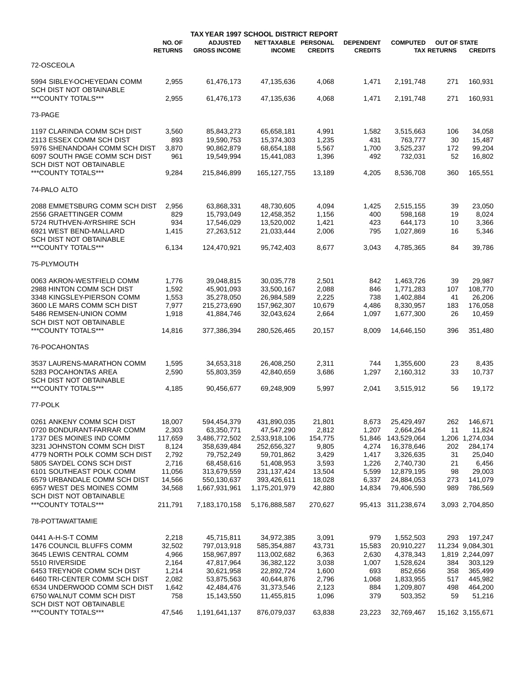|                                                          |                          | TAX YEAR 1997 SCHOOL DISTRICT REPORT   |                                       |                  |                                    |                          |                                           |                   |
|----------------------------------------------------------|--------------------------|----------------------------------------|---------------------------------------|------------------|------------------------------------|--------------------------|-------------------------------------------|-------------------|
|                                                          | NO. OF<br><b>RETURNS</b> | <b>ADJUSTED</b><br><b>GROSS INCOME</b> | NET TAXABLE PERSONAL<br><b>INCOME</b> | <b>CREDITS</b>   | <b>DEPENDENT</b><br><b>CREDITS</b> | <b>COMPUTED</b>          | <b>OUT OF STATE</b><br><b>TAX RETURNS</b> | <b>CREDITS</b>    |
| 72-OSCEOLA                                               |                          |                                        |                                       |                  |                                    |                          |                                           |                   |
| 5994 SIBLEY-OCHEYEDAN COMM<br>SCH DIST NOT OBTAINABLE    | 2,955                    | 61,476,173                             | 47,135,636                            | 4,068            | 1,471                              | 2,191,748                | 271                                       | 160,931           |
| ***COUNTY TOTALS***                                      | 2,955                    | 61,476,173                             | 47,135,636                            | 4,068            | 1,471                              | 2,191,748                | 271                                       | 160,931           |
| 73-PAGE                                                  |                          |                                        |                                       |                  |                                    |                          |                                           |                   |
| 1197 CLARINDA COMM SCH DIST                              | 3,560                    | 85,843,273                             | 65,658,181                            | 4,991            | 1,582                              | 3,515,663                | 106                                       | 34,058            |
| 2113 ESSEX COMM SCH DIST                                 | 893                      | 19,590,753                             | 15,374,303                            | 1,235            | 431                                | 763,777                  | 30                                        | 15,487            |
| 5976 SHENANDOAH COMM SCH DIST                            | 3,870                    | 90,862,879                             | 68,654,188                            | 5,567            | 1,700                              | 3,525,237                | 172                                       | 99,204            |
| 6097 SOUTH PAGE COMM SCH DIST<br>SCH DIST NOT OBTAINABLE | 961                      | 19,549,994                             | 15,441,083                            | 1,396            | 492                                | 732,031                  | 52                                        | 16,802            |
| ***COUNTY TOTALS***                                      | 9,284                    | 215,846,899                            | 165, 127, 755                         | 13,189           | 4,205                              | 8,536,708                | 360                                       | 165,551           |
| 74-PALO ALTO                                             |                          |                                        |                                       |                  |                                    |                          |                                           |                   |
| 2088 EMMETSBURG COMM SCH DIST                            | 2,956                    | 63,868,331                             | 48,730,605                            | 4,094            | 1,425                              | 2,515,155                | 39                                        | 23,050            |
| 2556 GRAETTINGER COMM                                    | 829                      | 15,793,049                             | 12,458,352                            | 1,156            | 400                                | 598,168                  | 19                                        | 8,024             |
| 5724 RUTHVEN-AYRSHIRE SCH                                | 934                      | 17,546,029                             | 13,520,002                            | 1,421            | 423                                | 644,173                  | 10                                        | 3,366             |
| 6921 WEST BEND-MALLARD                                   | 1,415                    | 27,263,512                             | 21,033,444                            | 2,006            | 795                                | 1,027,869                | 16                                        | 5,346             |
| SCH DIST NOT OBTAINABLE                                  |                          |                                        |                                       |                  |                                    |                          |                                           |                   |
| ***COUNTY TOTALS***                                      | 6,134                    | 124,470,921                            | 95,742,403                            | 8,677            | 3,043                              | 4,785,365                | 84                                        | 39,786            |
| 75-PLYMOUTH                                              |                          |                                        |                                       |                  |                                    |                          |                                           |                   |
| 0063 AKRON-WESTFIELD COMM                                | 1,776                    | 39,048,815                             | 30,035,778                            | 2,501            | 842                                | 1,463,726                | 39                                        | 29,987            |
| 2988 HINTON COMM SCH DIST                                | 1,592                    | 45,901,093                             | 33,500,167                            | 2,088            | 846                                | 1,771,283                | 107                                       | 108,770           |
| 3348 KINGSLEY-PIERSON COMM                               | 1,553                    | 35,278,050                             | 26,984,589                            | 2,225            | 738                                | 1,402,884                | 41                                        | 26,206            |
| 3600 LE MARS COMM SCH DIST                               | 7,977                    | 215,273,690                            | 157,962,307                           | 10,679           | 4,486                              | 8,330,957                | 183                                       | 176,058           |
| 5486 REMSEN-UNION COMM                                   | 1,918                    | 41,884,746                             | 32,043,624                            | 2,664            | 1,097                              | 1,677,300                | 26                                        | 10,459            |
| SCH DIST NOT OBTAINABLE<br>***COUNTY TOTALS***           | 14,816                   | 377,386,394                            | 280,526,465                           | 20,157           | 8,009                              | 14,646,150               | 396                                       | 351,480           |
| 76-POCAHONTAS                                            |                          |                                        |                                       |                  |                                    |                          |                                           |                   |
|                                                          |                          |                                        |                                       |                  |                                    |                          |                                           |                   |
| 3537 LAURENS-MARATHON COMM                               | 1,595                    | 34,653,318                             | 26,408,250                            | 2,311            | 744                                | 1,355,600                | 23                                        | 8,435             |
| 5283 POCAHONTAS AREA                                     | 2,590                    | 55,803,359                             | 42,840,659                            | 3,686            | 1,297                              | 2,160,312                | 33                                        | 10,737            |
| SCH DIST NOT OBTAINABLE                                  |                          |                                        |                                       |                  |                                    |                          |                                           |                   |
| ***COUNTY TOTALS***                                      | 4,185                    | 90,456,677                             | 69,248,909                            | 5,997            | 2,041                              | 3,515,912                | 56                                        | 19,172            |
| 77-POLK                                                  |                          |                                        |                                       |                  |                                    |                          |                                           |                   |
| 0261 ANKENY COMM SCH DIST                                | 18,007                   | 594,454,379                            | 431,890,035                           | 21,801           | 8,673                              | 25,429,497               | 262                                       | 146,671           |
| 0720 BONDURANT-FARRAR COMM                               | 2,303                    | 63,350,771                             | 47,547,290                            | 2,812            | 1,207                              | 2,664,264                | 11                                        | 11,824            |
| 1737 DES MOINES IND COMM                                 | 117,659                  | 3,486,772,502                          | 2,533,918,106                         | 154,775          | 51,846                             | 143,529,064              |                                           | 1,206 1,274,034   |
| 3231 JOHNSTON COMM SCH DIST                              | 8,124                    | 358,639,484                            | 252,656,327                           | 9,805            | 4,274                              | 16,378,646               | 202                                       | 284,174           |
| 4779 NORTH POLK COMM SCH DIST                            | 2,792                    | 79,752,249                             | 59,701,862                            | 3,429            | 1,417                              | 3,326,635                | 31                                        | 25,040            |
| 5805 SAYDEL CONS SCH DIST                                | 2,716                    | 68,458,616                             | 51,408,953                            | 3,593            | 1,226                              | 2,740,730                | 21                                        | 6,456             |
| 6101 SOUTHEAST POLK COMM<br>6579 URBANDALE COMM SCH DIST | 11,056                   | 313,679,559<br>550,130,637             | 231, 137, 424                         | 13,504           | 5,599                              | 12,879,195               | 98                                        | 29,003<br>141,079 |
| 6957 WEST DES MOINES COMM                                | 14,566<br>34,568         | 1,667,931,961                          | 393,426,611<br>1,175,201,979          | 18,028<br>42,880 | 6,337<br>14,834                    | 24,884,053<br>79,406,590 | 273<br>989                                | 786,569           |
| SCH DIST NOT OBTAINABLE                                  |                          |                                        |                                       |                  |                                    |                          |                                           |                   |
| ***COUNTY TOTALS***                                      | 211,791                  | 7,183,170,158                          | 5,176,888,587                         | 270,627          |                                    | 95,413 311,238,674       |                                           | 3,093 2,704,850   |
| 78-POTTAWATTAMIE                                         |                          |                                        |                                       |                  |                                    |                          |                                           |                   |
| 0441 A-H-S-T COMM                                        | 2,218                    | 45,715,811                             | 34,972,385                            | 3,091            | 979                                | 1,552,503                | 293                                       | 197,247           |
| 1476 COUNCIL BLUFFS COMM                                 | 32,502                   | 797,013,918                            | 585,354,887                           | 43,731           | 15,583                             | 20,910,227               |                                           | 11,234 9,084,301  |
| 3645 LEWIS CENTRAL COMM                                  | 4,966                    | 158,967,897                            | 113,002,682                           | 6,363            | 2,630                              | 4,378,343                |                                           | 1,819 2,244,097   |
| 5510 RIVERSIDE                                           | 2,164                    | 47,817,964                             | 36,382,122                            | 3,038            | 1,007                              | 1,528,624                | 384                                       | 303,129           |
| 6453 TREYNOR COMM SCH DIST                               | 1,214                    | 30,621,958                             | 22,892,724                            | 1,600            | 693                                | 852,656                  | 358                                       | 365,499           |
| 6460 TRI-CENTER COMM SCH DIST                            | 2,082                    | 53,875,563                             | 40,644,876                            | 2,796            | 1,068                              | 1,833,955                | 517                                       | 445,982           |
| 6534 UNDERWOOD COMM SCH DIST                             | 1,642                    | 42,484,476                             | 31,373,546                            | 2,123            | 884                                | 1,209,807                | 498                                       | 464,200           |
| 6750 WALNUT COMM SCH DIST                                | 758                      | 15,143,550                             | 11,455,815                            | 1,096            | 379                                | 503,352                  | 59                                        | 51,216            |
| <b>SCH DIST NOT OBTAINABLE</b>                           |                          |                                        |                                       |                  |                                    |                          |                                           |                   |
| ***COUNTY TOTALS***                                      | 47,546                   | 1,191,641,137                          | 876,079,037                           | 63,838           | 23,223                             | 32,769,467               |                                           | 15,162 3,155,671  |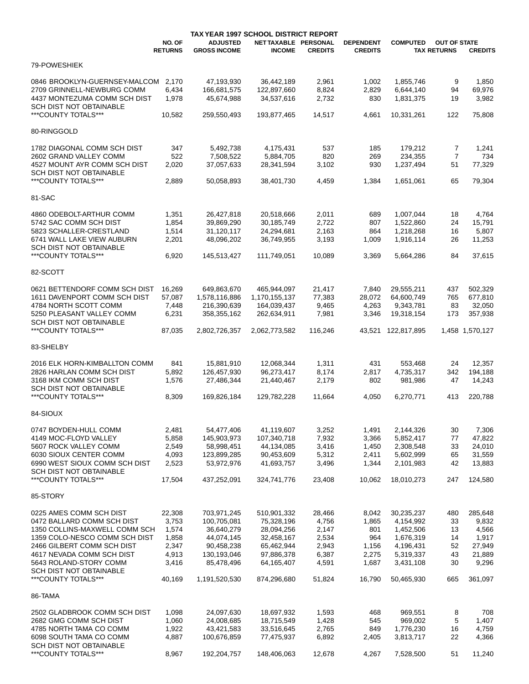|                                                        |                          | TAX YEAR 1997 SCHOOL DISTRICT REPORT   |                                       |                |                                    |                    |                                           |                 |
|--------------------------------------------------------|--------------------------|----------------------------------------|---------------------------------------|----------------|------------------------------------|--------------------|-------------------------------------------|-----------------|
|                                                        | NO. OF<br><b>RETURNS</b> | <b>ADJUSTED</b><br><b>GROSS INCOME</b> | NET TAXABLE PERSONAL<br><b>INCOME</b> | <b>CREDITS</b> | <b>DEPENDENT</b><br><b>CREDITS</b> | <b>COMPUTED</b>    | <b>OUT OF STATE</b><br><b>TAX RETURNS</b> | <b>CREDITS</b>  |
| 79-POWESHIEK                                           |                          |                                        |                                       |                |                                    |                    |                                           |                 |
| 0846 BROOKLYN-GUERNSEY-MALCOM                          | 2.170                    | 47,193,930                             | 36,442,189                            | 2,961          | 1,002                              | 1,855,746          | 9                                         | 1,850           |
| 2709 GRINNELL-NEWBURG COMM                             | 6,434                    | 166,681,575                            | 122,897,660                           | 8,824          | 2,829                              | 6.644.140          | 94                                        | 69,976          |
| 4437 MONTEZUMA COMM SCH DIST                           | 1,978                    | 45,674,988                             | 34,537,616                            | 2,732          | 830                                | 1,831,375          | 19                                        | 3,982           |
| <b>SCH DIST NOT OBTAINABLE</b>                         |                          |                                        |                                       |                |                                    |                    |                                           |                 |
| ***COUNTY TOTALS***                                    | 10,582                   | 259,550,493                            | 193,877,465                           | 14,517         | 4,661                              | 10,331,261         | 122                                       | 75,808          |
| 80-RINGGOLD                                            |                          |                                        |                                       |                |                                    |                    |                                           |                 |
| 1782 DIAGONAL COMM SCH DIST                            | 347                      | 5,492,738                              | 4,175,431                             | 537            | 185                                | 179,212            | 7                                         | 1,241           |
| 2602 GRAND VALLEY COMM                                 | 522                      | 7,508,522                              | 5,884,705                             | 820            | 269                                | 234,355            | $\overline{7}$                            | 734             |
| 4527 MOUNT AYR COMM SCH DIST                           | 2,020                    | 37,057,633                             | 28,341,594                            | 3,102          | 930                                | 1,237,494          | 51                                        | 77,329          |
| SCH DIST NOT OBTAINABLE<br>***COUNTY TOTALS***         |                          |                                        |                                       |                |                                    |                    |                                           |                 |
|                                                        | 2,889                    | 50,058,893                             | 38,401,730                            | 4,459          | 1,384                              | 1,651,061          | 65                                        | 79,304          |
| 81-SAC                                                 |                          |                                        |                                       |                |                                    |                    |                                           |                 |
| 4860 ODEBOLT-ARTHUR COMM                               | 1,351                    | 26,427,818                             | 20,518,666                            | 2,011          | 689                                | 1,007,044          | 18                                        | 4,764           |
| 5742 SAC COMM SCH DIST                                 | 1,854                    | 39,869,290                             | 30,185,749                            | 2,722          | 807                                | 1,522,860          | 24                                        | 15,791          |
| 5823 SCHALLER-CRESTLAND                                | 1,514                    | 31,120,117                             | 24,294,681                            | 2,163          | 864                                | 1,218,268          | 16                                        | 5,807           |
| 6741 WALL LAKE VIEW AUBURN                             | 2,201                    | 48,096,202                             | 36,749,955                            | 3,193          | 1,009                              | 1,916,114          | 26                                        | 11,253          |
| <b>SCH DIST NOT OBTAINABLE</b><br>***COUNTY TOTALS***  | 6.920                    | 145,513,427                            | 111,749,051                           | 10,089         | 3,369                              | 5,664,286          | 84                                        | 37,615          |
|                                                        |                          |                                        |                                       |                |                                    |                    |                                           |                 |
| 82-SCOTT                                               |                          |                                        |                                       |                |                                    |                    |                                           |                 |
| 0621 BETTENDORF COMM SCH DIST                          | 16,269                   | 649,863,670                            | 465,944,097                           | 21,417         | 7,840                              | 29,555,211         | 437                                       | 502,329         |
| 1611 DAVENPORT COMM SCH DIST                           | 57,087                   | 1,578,116,886                          | 1,170,155,137                         | 77,383         | 28,072                             | 64,600,749         | 765                                       | 677,810         |
| 4784 NORTH SCOTT COMM                                  | 7,448                    | 216,390,639                            | 164,039,437                           | 9,465          | 4,263                              | 9,343,781          | 83                                        | 32,050          |
| 5250 PLEASANT VALLEY COMM                              | 6,231                    | 358, 355, 162                          | 262,634,911                           | 7,981          | 3,346                              | 19,318,154         | 173                                       | 357,938         |
| SCH DIST NOT OBTAINABLE<br>***COUNTY TOTALS***         | 87,035                   | 2,802,726,357                          | 2,062,773,582                         | 116,246        | 43,521                             | 122,817,895        |                                           | 1,458 1,570,127 |
|                                                        |                          |                                        |                                       |                |                                    |                    |                                           |                 |
| 83-SHELBY                                              |                          |                                        |                                       |                |                                    |                    |                                           |                 |
| 2016 ELK HORN-KIMBALLTON COMM                          | 841                      | 15,881,910                             | 12,068,344                            | 1,311          | 431                                | 553,468            | 24                                        | 12.357          |
| 2826 HARLAN COMM SCH DIST                              | 5,892                    | 126,457,930                            | 96,273,417                            | 8,174          | 2,817                              | 4,735,317          | 342                                       | 194,188         |
| 3168 IKM COMM SCH DIST                                 | 1,576                    | 27,486,344                             | 21,440,467                            | 2,179          | 802                                | 981,986            | 47                                        | 14,243          |
| <b>SCH DIST NOT OBTAINABLE</b>                         |                          |                                        |                                       |                |                                    |                    |                                           |                 |
| ***COUNTY TOTALS***                                    | 8,309                    | 169,826,184                            | 129,782,228                           | 11,664         | 4,050                              | 6,270,771          | 413                                       | 220,788         |
| 84-SIOUX                                               |                          |                                        |                                       |                |                                    |                    |                                           |                 |
| 0747 BOYDEN-HULL COMM                                  | 2,481                    | 54,477,406                             | 41,119,607                            | 3,252          | 1,491                              | 2,144,326          | 30                                        | 7,306           |
| 4149 MOC-FLOYD VALLEY                                  | 5,858                    | 145,903,973                            | 107,340,718                           | 7,932          | 3,366                              | 5,852,417          | 77                                        | 47,822          |
| 5607 ROCK VALLEY COMM                                  | 2,549                    | 58,998,451                             | 44,134,085                            | 3,416          | 1,450                              | 2,308,548          | 33                                        | 24,010          |
| 6030 SIOUX CENTER COMM                                 | 4,093                    | 123,899,285                            | 90,453,609                            | 5,312          | 2,411                              | 5,602,999          | 65                                        | 31,559          |
| 6990 WEST SIOUX COMM SCH DIST                          | 2,523                    | 53,972,976                             | 41,693,757                            | 3,496          | 1,344                              | 2,101,983          | 42                                        | 13,883          |
| <b>SCH DIST NOT OBTAINABLE</b>                         |                          |                                        |                                       |                |                                    |                    |                                           |                 |
| ***COUNTY TOTALS***                                    | 17,504                   | 437,252,091                            | 324,741,776                           | 23,408         | 10,062                             | 18,010,273         | 247                                       | 124,580         |
| 85-STORY                                               |                          |                                        |                                       |                |                                    |                    |                                           |                 |
| 0225 AMES COMM SCH DIST                                | 22,308                   | 703,971,245                            | 510,901,332                           | 28,466         | 8,042                              | 30,235,237         | 480                                       | 285,648         |
| 0472 BALLARD COMM SCH DIST                             | 3,753                    | 100,705,081                            | 75,328,196                            | 4,756          | 1,865                              | 4,154,992          | 33                                        | 9,832           |
| 1350 COLLINS-MAXWELL COMM SCH                          | 1,574                    | 36,640,279                             | 28,094,256                            | 2,147          | 801                                | 1,452,506          | 13                                        | 4,566           |
| 1359 COLO-NESCO COMM SCH DIST                          | 1,858                    | 44,074,145                             | 32,458,167                            | 2,534          | 964                                | 1,676,319          | 14                                        | 1,917           |
| 2466 GILBERT COMM SCH DIST                             | 2,347                    | 90,458,238                             | 65,462,944                            | 2,943          | 1,156                              | 4,196,431          | 52                                        | 27,949          |
| 4617 NEVADA COMM SCH DIST                              | 4,913                    | 130,193,046                            | 97,886,378                            | 6,387          | 2,275                              | 5,319,337          | 43                                        | 21,889          |
| 5643 ROLAND-STORY COMM                                 | 3,416                    | 85,478,496                             | 64,165,407                            | 4,591          | 1,687                              | 3,431,108          | 30                                        | 9,296           |
| SCH DIST NOT OBTAINABLE<br>*** COUNTY TOTALS***        | 40,169                   | 1,191,520,530                          | 874,296,680                           | 51,824         | 16,790                             | 50,465,930         | 665                                       | 361,097         |
| 86-TAMA                                                |                          |                                        |                                       |                |                                    |                    |                                           |                 |
|                                                        |                          |                                        |                                       |                |                                    |                    |                                           |                 |
| 2502 GLADBROOK COMM SCH DIST<br>2682 GMG COMM SCH DIST | 1,098                    | 24,097,630<br>24,008,685               | 18,697,932                            | 1,593<br>1,428 | 468                                | 969,551<br>969,002 | 8<br>5                                    | 708<br>1,407    |
| 4785 NORTH TAMA CO COMM                                | 1,060<br>1,922           | 43,421,583                             | 18,715,549<br>33,516,645              | 2,765          | 545<br>849                         | 1,776,230          | 16                                        | 4,759           |
| 6098 SOUTH TAMA CO COMM                                | 4,887                    | 100,676,859                            | 77,475,937                            | 6,892          | 2,405                              | 3,813,717          | 22                                        | 4,366           |
| SCH DIST NOT OBTAINABLE                                |                          |                                        |                                       |                |                                    |                    |                                           |                 |
| ***COUNTY TOTALS***                                    | 8,967                    | 192,204,757                            | 148,406,063                           | 12,678         | 4,267                              | 7,528,500          | 51                                        | 11,240          |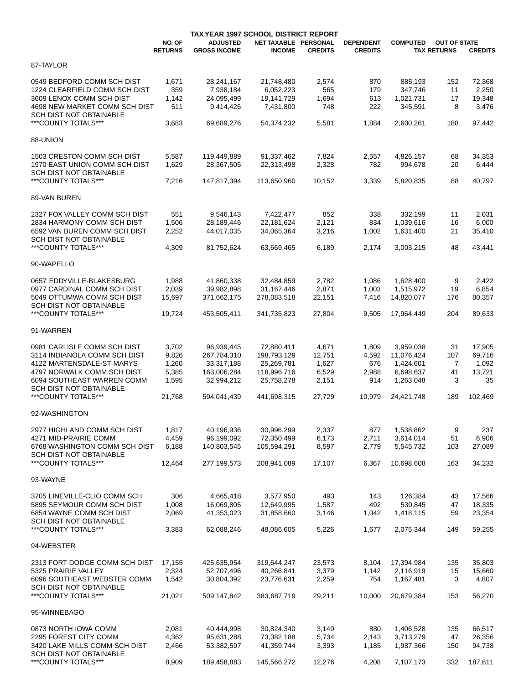|                                                                |                          |                                        | TAX YEAR 1997 SCHOOL DISTRICT REPORT  |                |                                    |                 |                                           |                |  |
|----------------------------------------------------------------|--------------------------|----------------------------------------|---------------------------------------|----------------|------------------------------------|-----------------|-------------------------------------------|----------------|--|
|                                                                | NO. OF<br><b>RETURNS</b> | <b>ADJUSTED</b><br><b>GROSS INCOME</b> | NET TAXABLE PERSONAL<br><b>INCOME</b> | <b>CREDITS</b> | <b>DEPENDENT</b><br><b>CREDITS</b> | <b>COMPUTED</b> | <b>OUT OF STATE</b><br><b>TAX RETURNS</b> | <b>CREDITS</b> |  |
| 87-TAYLOR                                                      |                          |                                        |                                       |                |                                    |                 |                                           |                |  |
| 0549 BEDFORD COMM SCH DIST                                     | 1,671                    | 28,241,167                             | 21,748,480                            | 2,574          | 870                                | 885,193         | 152                                       | 72,368         |  |
| 1224 CLEARFIELD COMM SCH DIST                                  | 359                      | 7,938,184                              | 6.052.223                             | 565            | 179                                | 347,746         | 11                                        | 2,250          |  |
| 3609 LENOX COMM SCH DIST                                       | 1,142                    | 24,095,499                             | 19,141,729                            | 1,694          | 613                                | 1,021,731       | 17                                        | 19,348         |  |
| 4698 NEW MARKET COMM SCH DIST                                  | 511                      | 9,414,426                              | 7,431,800                             | 748            | 222                                | 345,591         | 8                                         | 3,476          |  |
| SCH DIST NOT OBTAINABLE                                        |                          |                                        |                                       |                |                                    |                 |                                           |                |  |
| ***COUNTY TOTALS***                                            | 3,683                    | 69,689,276                             | 54,374,232                            | 5,581          | 1,884                              | 2,600,261       | 188                                       | 97,442         |  |
| 88-UNION                                                       |                          |                                        |                                       |                |                                    |                 |                                           |                |  |
| 1503 CRESTON COMM SCH DIST                                     | 5,587                    | 119,449,889                            | 91,337,462                            | 7,824          | 2,557                              | 4,826,157       | 68                                        | 34,353         |  |
| 1970 EAST UNION COMM SCH DIST                                  | 1,629                    | 28,367,505                             | 22,313,498                            | 2,328          | 782                                | 994,678         | 20                                        | 6,444          |  |
| SCH DIST NOT OBTAINABLE                                        |                          |                                        |                                       |                |                                    |                 |                                           |                |  |
| ***COUNTY TOTALS***                                            | 7,216                    | 147,817,394                            | 113,650,960                           | 10,152         | 3,339                              | 5,820,835       | 88                                        | 40,797         |  |
| 89-VAN BUREN                                                   |                          |                                        |                                       |                |                                    |                 |                                           |                |  |
|                                                                |                          |                                        |                                       |                |                                    |                 |                                           |                |  |
| 2327 FOX VALLEY COMM SCH DIST                                  | 551                      | 9,546,143                              | 7.422.477                             | 852            | 338                                | 332,199         | 11                                        | 2,031          |  |
| 2834 HARMONY COMM SCH DIST                                     | 1,506                    | 28,189,446                             | 22,181,624                            | 2,121          | 834                                | 1,039,616       | 16                                        | 6,000          |  |
| 6592 VAN BUREN COMM SCH DIST<br><b>SCH DIST NOT OBTAINABLE</b> | 2,252                    | 44,017,035                             | 34,065,364                            | 3,216          | 1,002                              | 1,631,400       | 21                                        | 35,410         |  |
| ***COUNTY TOTALS***                                            | 4,309                    | 81,752,624                             | 63,669,465                            | 6,189          | 2,174                              | 3,003,215       | 48                                        | 43,441         |  |
|                                                                |                          |                                        |                                       |                |                                    |                 |                                           |                |  |
| 90-WAPELLO                                                     |                          |                                        |                                       |                |                                    |                 |                                           |                |  |
| 0657 EDDYVILLE-BLAKESBURG                                      | 1,988                    | 41,860,338                             | 32,484,859                            | 2,782          | 1,086                              | 1,628,400       | 9                                         | 2,422          |  |
| 0977 CARDINAL COMM SCH DIST                                    | 2,039                    | 39,982,898                             | 31, 167, 446                          | 2,871          | 1,003                              | 1,515,972       | 19                                        | 6,854          |  |
| 5049 OTTUMWA COMM SCH DIST                                     | 15,697                   | 371,662,175                            | 278,083,518                           | 22,151         | 7,416                              | 14,820,077      | 176                                       | 80,357         |  |
| SCH DIST NOT OBTAINABLE                                        |                          |                                        |                                       |                |                                    |                 |                                           |                |  |
| ***COUNTY TOTALS***                                            | 19,724                   | 453,505,411                            | 341,735,823                           | 27,804         | 9,505                              | 17,964,449      | 204                                       | 89,633         |  |
| 91-WARREN                                                      |                          |                                        |                                       |                |                                    |                 |                                           |                |  |
| 0981 CARLISLE COMM SCH DIST                                    | 3,702                    | 96,939,445                             | 72,880,411                            | 4,671          | 1,809                              | 3,959,038       | 31                                        | 17,905         |  |
| 3114 INDIANOLA COMM SCH DIST                                   | 9,826                    | 267,784,310                            | 198,793,129                           | 12,751         | 4,592                              | 11,076,424      | 107                                       | 69,716         |  |
| 4122 MARTENSDALE-ST MARYS                                      | 1,260                    | 33,317,188                             | 25,269,781                            | 1,627          | 676                                | 1,424,601       | 7                                         | 1,092          |  |
| 4797 NORWALK COMM SCH DIST                                     | 5,385                    | 163,006,284                            | 118,996,716                           | 6,529          | 2,988                              | 6,698,637       | 41                                        | 13,721         |  |
| 6094 SOUTHEAST WARREN COMM                                     | 1,595                    | 32,994,212                             | 25,758,278                            | 2,151          | 914                                | 1,263,048       | 3                                         | 35             |  |
| <b>SCH DIST NOT OBTAINABLE</b>                                 |                          |                                        |                                       |                |                                    |                 |                                           |                |  |
| ***COUNTY TOTALS***                                            | 21,768                   | 594,041,439                            | 441,698,315                           | 27,729         | 10.979                             | 24,421,748      | 189                                       | 102,469        |  |
| 92-WASHINGTON                                                  |                          |                                        |                                       |                |                                    |                 |                                           |                |  |
|                                                                |                          |                                        |                                       |                |                                    |                 |                                           |                |  |
| 2977 HIGHLAND COMM SCH DIST                                    | 1,817                    | 40,196,936                             | 30,996,299                            | 2,337          | 877                                | 1,538,862       | 9                                         | 237            |  |
| 4271 MID-PRAIRIE COMM                                          | 4,459                    | 96,199,092                             | 72,350,499                            | 6,173          | 2,711                              | 3,614,014       | 51                                        | 6,906          |  |
| 6768 WASHINGTON COMM SCH DIST                                  | 6,188                    | 140,803,545                            | 105,594,291                           | 8,597          | 2,779                              | 5,545,732       | 103                                       | 27,089         |  |
| SCH DIST NOT OBTAINABLE                                        |                          |                                        |                                       |                |                                    |                 |                                           |                |  |
| ***COUNTY TOTALS***                                            | 12,464                   | 277,199,573                            | 208,941,089                           | 17,107         | 6,367                              | 10,698,608      | 163                                       | 34,232         |  |
| 93-WAYNE                                                       |                          |                                        |                                       |                |                                    |                 |                                           |                |  |
| 3705 LINEVILLE-CLIO COMM SCH                                   | 306                      | 4,665,418                              | 3,577,950                             | 493            | 143                                | 126,384         | 43                                        | 17,566         |  |
| 5895 SEYMOUR COMM SCH DIST                                     | 1,008                    | 16,069,805                             | 12,649,995                            | 1,587          | 492                                | 530,845         | 47                                        | 18,335         |  |
| 6854 WAYNE COMM SCH DIST                                       | 2,069                    | 41,353,023                             | 31,858,660                            | 3,146          | 1,042                              | 1,418,115       | 59                                        | 23,354         |  |
| SCH DIST NOT OBTAINABLE                                        |                          |                                        |                                       |                |                                    |                 |                                           |                |  |
| ***COUNTY TOTALS***                                            | 3,383                    | 62,088,246                             | 48,086,605                            | 5,226          | 1,677                              | 2,075,344       | 149                                       | 59,255         |  |
| 94-WEBSTER                                                     |                          |                                        |                                       |                |                                    |                 |                                           |                |  |
| 2313 FORT DODGE COMM SCH DIST                                  | 17,155                   | 425,635,954                            | 319,644,247                           | 23,573         | 8,104                              | 17,394,984      | 135                                       | 35,803         |  |
| 5325 PRAIRIE VALLEY                                            | 2,324                    | 52,707,496                             | 40,266,841                            | 3,379          | 1,142                              | 2,116,919       | 15                                        | 15,660         |  |
| 6096 SOUTHEAST WEBSTER COMM                                    | 1,542                    | 30,804,392                             | 23,776,631                            | 2,259          | 754                                | 1,167,481       | 3                                         | 4,807          |  |
| SCH DIST NOT OBTAINABLE                                        |                          |                                        |                                       |                |                                    |                 |                                           |                |  |
| ***COUNTY TOTALS***                                            | 21,021                   | 509,147,842                            | 383,687,719                           | 29,211         | 10,000                             | 20,679,384      | 153                                       | 56,270         |  |
| 95-WINNEBAGO                                                   |                          |                                        |                                       |                |                                    |                 |                                           |                |  |
| 0873 NORTH IOWA COMM                                           | 2,081                    | 40,444,998                             | 30,824,340                            | 3,149          | 880                                | 1,406,528       | 135                                       | 66,517         |  |
| 2295 FOREST CITY COMM                                          | 4,362                    | 95,631,288                             | 73,382,188                            | 5,734          | 2,143                              | 3,713,279       | 47                                        | 26,356         |  |
| 3420 LAKE MILLS COMM SCH DIST                                  | 2,466                    | 53,382,597                             | 41,359,744                            | 3,393          | 1,185                              | 1,987,366       | 150                                       | 94,738         |  |
| SCH DIST NOT OBTAINABLE                                        |                          |                                        |                                       |                |                                    |                 |                                           |                |  |
| ***COUNTY TOTALS***                                            | 8,909                    | 189,458,883                            | 145,566,272                           | 12,276         | 4,208                              | 7,107,173       | 332                                       | 187,611        |  |